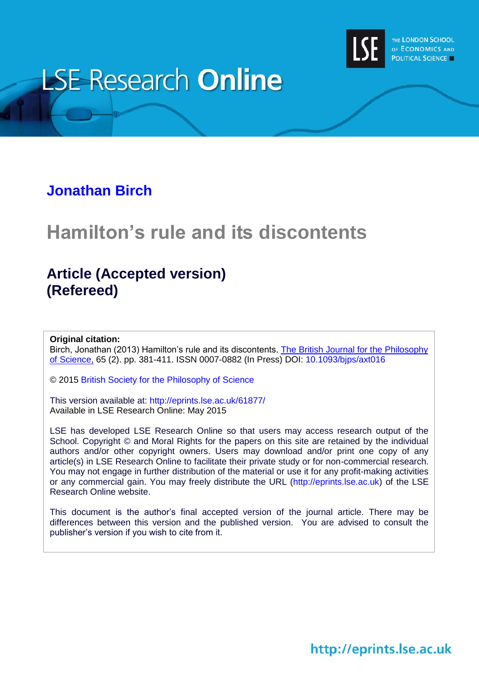

# **LSE Research Online**

## **[Jonathan Birch](http://www.lse.ac.uk/philosophy/)**

# **Hamilton's rule and its discontents**

# **Article (Accepted version) (Refereed)**

#### **Original citation:**

Birch, Jonathan (2013) Hamilton's rule and its discontents. [The British Journal for the Philosophy](http://bjps.oxfordjournals.org/)  [of Science,](http://bjps.oxfordjournals.org/) 65 (2). pp. 381-411. ISSN 0007-0882 (In Press) DOI: [10.1093/bjps/axt016](http://dx.doi.org/10.1093/bjps/axt016)

© 2015 [British Society for the Philosophy of Science](http://www.thebsps.org/)

This version available at:<http://eprints.lse.ac.uk/61877/> Available in LSE Research Online: May 2015

LSE has developed LSE Research Online so that users may access research output of the School. Copyright © and Moral Rights for the papers on this site are retained by the individual authors and/or other copyright owners. Users may download and/or print one copy of any article(s) in LSE Research Online to facilitate their private study or for non-commercial research. You may not engage in further distribution of the material or use it for any profit-making activities or any commercial gain. You may freely distribute the URL (http://eprints.lse.ac.uk) of the LSE Research Online website.

This document is the author's final accepted version of the journal article. There may be differences between this version and the published version. You are advised to consult the publisher's version if you wish to cite from it.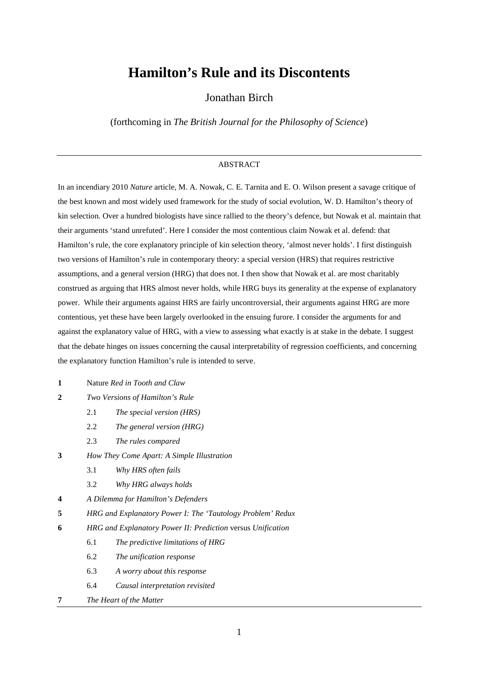### **Hamilton's Rule and its Discontents**

Jonathan Birch

(forthcoming in *The British Journal for the Philosophy of Science*)

#### ABSTRACT

In an incendiary 2010 *Nature* article, M. A. Nowak, C. E. Tarnita and E. O. Wilson present a savage critique of the best known and most widely used framework for the study of social evolution, W. D. Hamilton's theory of kin selection. Over a hundred biologists have since rallied to the theory's defence, but Nowak et al. maintain that their arguments 'stand unrefuted'. Here I consider the most contentious claim Nowak et al. defend: that Hamilton's rule, the core explanatory principle of kin selection theory, 'almost never holds'. I first distinguish two versions of Hamilton's rule in contemporary theory: a special version (HRS) that requires restrictive assumptions, and a general version (HRG) that does not. I then show that Nowak et al. are most charitably construed as arguing that HRS almost never holds, while HRG buys its generality at the expense of explanatory power. While their arguments against HRS are fairly uncontroversial, their arguments against HRG are more contentious, yet these have been largely overlooked in the ensuing furore. I consider the arguments for and against the explanatory value of HRG, with a view to assessing what exactly is at stake in the debate. I suggest that the debate hinges on issues concerning the causal interpretability of regression coefficients, and concerning the explanatory function Hamilton's rule is intended to serve.

- **1** Nature *Red in Tooth and Claw*
- **2** *Two Versions of Hamilton's Rule* 
	- 2.1 *The special version (HRS)*
	- 2.2 *The general version (HRG)*
	- 2.3 *The rules compared*
- **3** *How They Come Apart: A Simple Illustration* 
	- 3.1 *Why HRS often fails*
	- 3.2 *Why HRG always holds*
- **4** *A Dilemma for Hamilton's Defenders*
- **5** *HRG and Explanatory Power I: The 'Tautology Problem' Redux*
- **6** *HRG and Explanatory Power II: Prediction* versus *Unification* 
	- 6.1 *The predictive limitations of HRG*
	- 6.2 *The unification response*
	- 6.3 *A worry about this response*
	- 6.4 *Causal interpretation revisited*
- **7** *The Heart of the Matter*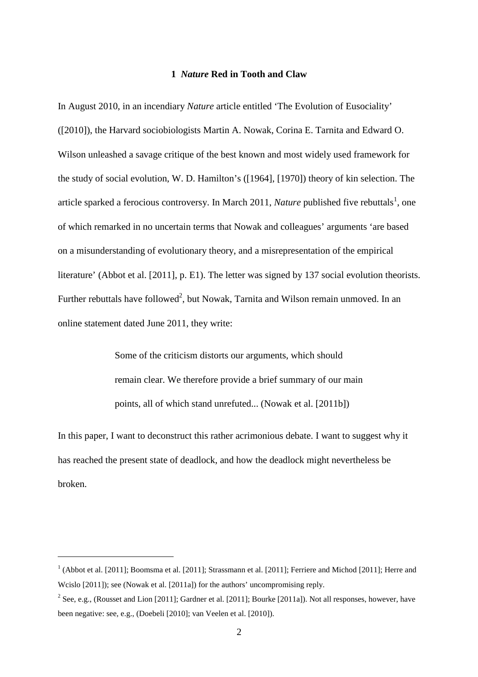#### **1** *Nature* **Red in Tooth and Claw**

In August 2010, in an incendiary *Nature* article entitled 'The Evolution of Eusociality' ([2010]), the Harvard sociobiologists Martin A. Nowak, Corina E. Tarnita and Edward O. Wilson unleashed a savage critique of the best known and most widely used framework for the study of social evolution, W. D. Hamilton's ([1964], [1970]) theory of kin selection. The article sparked a ferocious controversy. In March 2011, *Nature* published five rebuttals<sup>1</sup>, one of which remarked in no uncertain terms that Nowak and colleagues' arguments 'are based on a misunderstanding of evolutionary theory, and a misrepresentation of the empirical literature' (Abbot et al. [2011], p. E1). The letter was signed by 137 social evolution theorists. Further rebuttals have followed<sup>2</sup>, but Nowak, Tarnita and Wilson remain unmoved. In an online statement dated June 2011, they write:

> Some of the criticism distorts our arguments, which should remain clear. We therefore provide a brief summary of our main points, all of which stand unrefuted... (Nowak et al. [2011b])

In this paper, I want to deconstruct this rather acrimonious debate. I want to suggest why it has reached the present state of deadlock, and how the deadlock might nevertheless be broken.

 $1$  (Abbot et al. [2011]; Boomsma et al. [2011]; Strassmann et al. [2011]; Ferriere and Michod [2011]; Herre and Wcislo [2011]); see (Nowak et al. [2011a]) for the authors' uncompromising reply.

<sup>&</sup>lt;sup>2</sup> See, e.g., (Rousset and Lion [2011]; Gardner et al. [2011]; Bourke [2011a]). Not all responses, however, have been negative: see, e.g., (Doebeli [2010]; van Veelen et al. [2010]).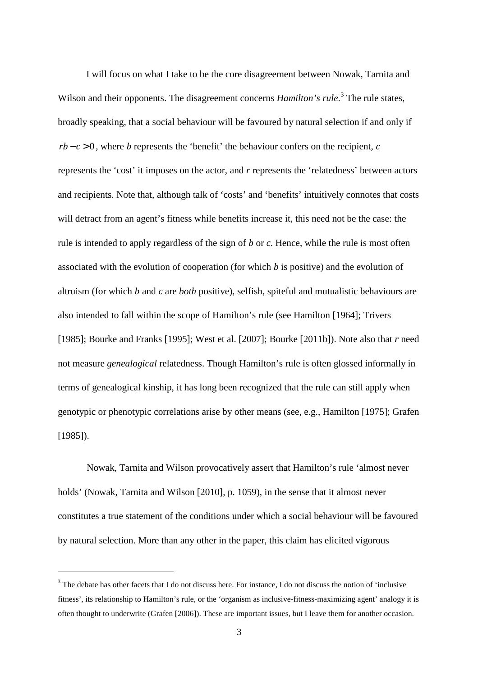I will focus on what I take to be the core disagreement between Nowak, Tarnita and Wilson and their opponents. The disagreement concerns *Hamilton's rule*.<sup>3</sup> The rule states, broadly speaking, that a social behaviour will be favoured by natural selection if and only if  $rb - c > 0$ , where *b* represents the 'benefit' the behaviour confers on the recipient, *c* represents the 'cost' it imposes on the actor, and *r* represents the 'relatedness' between actors and recipients. Note that, although talk of 'costs' and 'benefits' intuitively connotes that costs will detract from an agent's fitness while benefits increase it, this need not be the case: the rule is intended to apply regardless of the sign of *b* or *c*. Hence, while the rule is most often associated with the evolution of cooperation (for which *b* is positive) and the evolution of altruism (for which *b* and *c* are *both* positive), selfish, spiteful and mutualistic behaviours are also intended to fall within the scope of Hamilton's rule (see Hamilton [1964]; Trivers [1985]; Bourke and Franks [1995]; West et al. [2007]; Bourke [2011b]). Note also that *r* need not measure *genealogical* relatedness. Though Hamilton's rule is often glossed informally in terms of genealogical kinship, it has long been recognized that the rule can still apply when genotypic or phenotypic correlations arise by other means (see, e.g., Hamilton [1975]; Grafen [1985]).

Nowak, Tarnita and Wilson provocatively assert that Hamilton's rule 'almost never holds' (Nowak, Tarnita and Wilson [2010], p. 1059), in the sense that it almost never constitutes a true statement of the conditions under which a social behaviour will be favoured by natural selection. More than any other in the paper, this claim has elicited vigorous

 $3$  The debate has other facets that I do not discuss here. For instance, I do not discuss the notion of 'inclusive fitness', its relationship to Hamilton's rule, or the 'organism as inclusive-fitness-maximizing agent' analogy it is often thought to underwrite (Grafen [2006]). These are important issues, but I leave them for another occasion.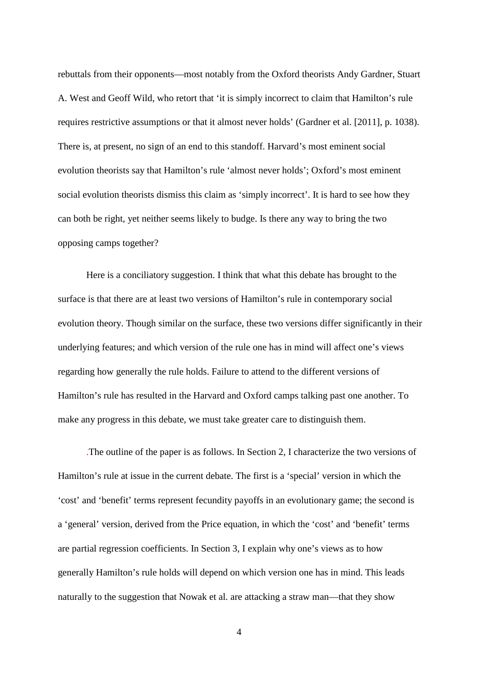rebuttals from their opponents—most notably from the Oxford theorists Andy Gardner, Stuart A. West and Geoff Wild, who retort that 'it is simply incorrect to claim that Hamilton's rule requires restrictive assumptions or that it almost never holds' (Gardner et al. [2011], p. 1038). There is, at present, no sign of an end to this standoff. Harvard's most eminent social evolution theorists say that Hamilton's rule 'almost never holds'; Oxford's most eminent social evolution theorists dismiss this claim as 'simply incorrect'. It is hard to see how they can both be right, yet neither seems likely to budge. Is there any way to bring the two opposing camps together?

Here is a conciliatory suggestion. I think that what this debate has brought to the surface is that there are at least two versions of Hamilton's rule in contemporary social evolution theory. Though similar on the surface, these two versions differ significantly in their underlying features; and which version of the rule one has in mind will affect one's views regarding how generally the rule holds. Failure to attend to the different versions of Hamilton's rule has resulted in the Harvard and Oxford camps talking past one another. To make any progress in this debate, we must take greater care to distinguish them.

.The outline of the paper is as follows. In Section 2, I characterize the two versions of Hamilton's rule at issue in the current debate. The first is a 'special' version in which the 'cost' and 'benefit' terms represent fecundity payoffs in an evolutionary game; the second is a 'general' version, derived from the Price equation, in which the 'cost' and 'benefit' terms are partial regression coefficients. In Section 3, I explain why one's views as to how generally Hamilton's rule holds will depend on which version one has in mind. This leads naturally to the suggestion that Nowak et al. are attacking a straw man—that they show

4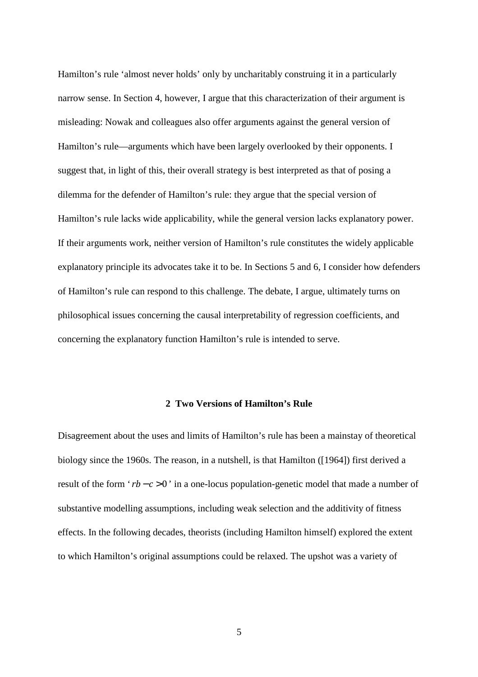Hamilton's rule 'almost never holds' only by uncharitably construing it in a particularly narrow sense. In Section 4, however, I argue that this characterization of their argument is misleading: Nowak and colleagues also offer arguments against the general version of Hamilton's rule—arguments which have been largely overlooked by their opponents. I suggest that, in light of this, their overall strategy is best interpreted as that of posing a dilemma for the defender of Hamilton's rule: they argue that the special version of Hamilton's rule lacks wide applicability, while the general version lacks explanatory power. If their arguments work, neither version of Hamilton's rule constitutes the widely applicable explanatory principle its advocates take it to be. In Sections 5 and 6, I consider how defenders of Hamilton's rule can respond to this challenge. The debate, I argue, ultimately turns on philosophical issues concerning the causal interpretability of regression coefficients, and concerning the explanatory function Hamilton's rule is intended to serve.

#### **2 Two Versions of Hamilton's Rule**

Disagreement about the uses and limits of Hamilton's rule has been a mainstay of theoretical biology since the 1960s. The reason, in a nutshell, is that Hamilton ([1964]) first derived a result of the form 'rb – c > 0' in a one-locus population-genetic model that made a number of substantive modelling assumptions, including weak selection and the additivity of fitness effects. In the following decades, theorists (including Hamilton himself) explored the extent to which Hamilton's original assumptions could be relaxed. The upshot was a variety of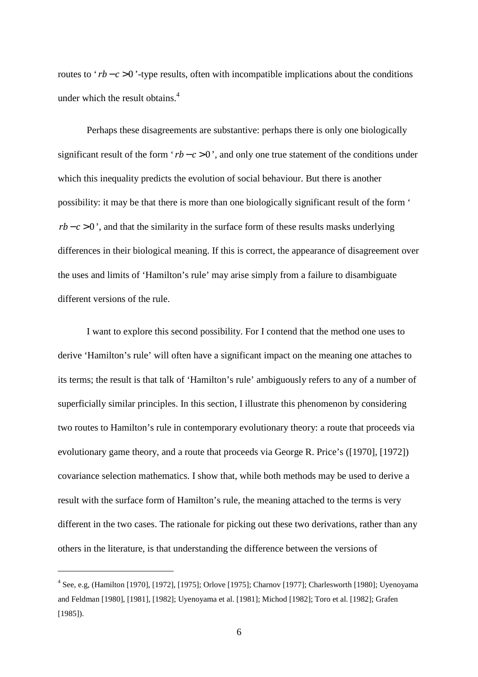routes to 'rb – c > 0'-type results, often with incompatible implications about the conditions under which the result obtains. $4$ 

Perhaps these disagreements are substantive: perhaps there is only one biologically significant result of the form ' $rb - c > 0$ ', and only one true statement of the conditions under which this inequality predicts the evolution of social behaviour. But there is another possibility: it may be that there is more than one biologically significant result of the form '  $rb - c > 0$ , and that the similarity in the surface form of these results masks underlying differences in their biological meaning. If this is correct, the appearance of disagreement over the uses and limits of 'Hamilton's rule' may arise simply from a failure to disambiguate different versions of the rule.

I want to explore this second possibility. For I contend that the method one uses to derive 'Hamilton's rule' will often have a significant impact on the meaning one attaches to its terms; the result is that talk of 'Hamilton's rule' ambiguously refers to any of a number of superficially similar principles. In this section, I illustrate this phenomenon by considering two routes to Hamilton's rule in contemporary evolutionary theory: a route that proceeds via evolutionary game theory, and a route that proceeds via George R. Price's ([1970], [1972]) covariance selection mathematics. I show that, while both methods may be used to derive a result with the surface form of Hamilton's rule, the meaning attached to the terms is very different in the two cases. The rationale for picking out these two derivations, rather than any others in the literature, is that understanding the difference between the versions of

<sup>4</sup> See, e.g, (Hamilton [1970], [1972], [1975]; Orlove [1975]; Charnov [1977]; Charlesworth [1980]; Uyenoyama and Feldman [1980], [1981], [1982]; Uyenoyama et al. [1981]; Michod [1982]; Toro et al. [1982]; Grafen [1985]).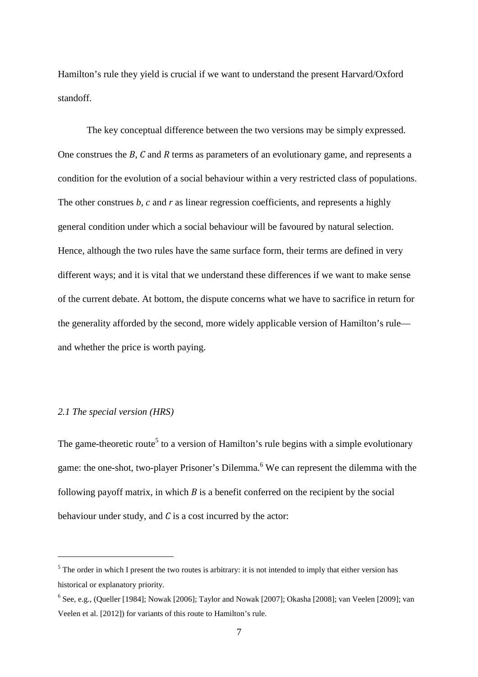Hamilton's rule they yield is crucial if we want to understand the present Harvard/Oxford standoff.

The key conceptual difference between the two versions may be simply expressed. One construes the *B, C* and *R* terms as parameters of an evolutionary game, and represents a condition for the evolution of a social behaviour within a very restricted class of populations. The other construes *b*, *c* and *r* as linear regression coefficients, and represents a highly general condition under which a social behaviour will be favoured by natural selection. Hence, although the two rules have the same surface form, their terms are defined in very different ways; and it is vital that we understand these differences if we want to make sense of the current debate. At bottom, the dispute concerns what we have to sacrifice in return for the generality afforded by the second, more widely applicable version of Hamilton's rule and whether the price is worth paying.

#### *2.1 The special version (HRS)*

 $\overline{\phantom{0}}$ 

The game-theoretic route<sup>5</sup> to a version of Hamilton's rule begins with a simple evolutionary game: the one-shot, two-player Prisoner's Dilemma.<sup>6</sup> We can represent the dilemma with the following payoff matrix, in which *B* is a benefit conferred on the recipient by the social behaviour under study, and *C* is a cost incurred by the actor:

 $<sup>5</sup>$  The order in which I present the two routes is arbitrary: it is not intended to imply that either version has</sup> historical or explanatory priority.

 $6$  See, e.g., (Queller [1984]; Nowak [2006]; Taylor and Nowak [2007]; Okasha [2008]; van Veelen [2009]; van Veelen et al. [2012]) for variants of this route to Hamilton's rule.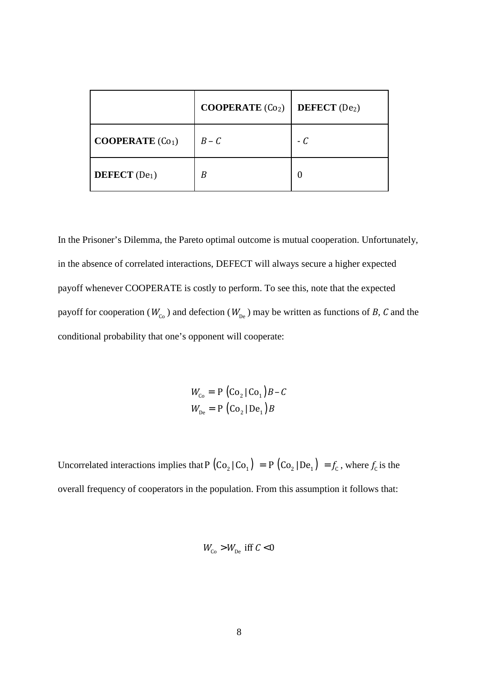|                           | COOPERATE $(Co2)$ | <b>DEFECT</b> $(De2)$ |
|---------------------------|-------------------|-----------------------|
| <b>COOPERATE</b> $(Co_1)$ | $B - C$           | $-C$                  |
| DEFECT $(De1)$            | B                 |                       |

In the Prisoner's Dilemma, the Pareto optimal outcome is mutual cooperation. Unfortunately, in the absence of correlated interactions, DEFECT will always secure a higher expected payoff whenever COOPERATE is costly to perform. To see this, note that the expected payoff for cooperation ( $W_{C_0}$ ) and defection ( $W_{De}$ ) may be written as functions of *B*, *C* and the conditional probability that one's opponent will cooperate:

> $W_{C_0} = P (C_0 | C_0) B - C$  $W_{\text{De}} = P \left( \text{Co}_2 | \text{De}_1 \right) B$

Uncorrelated interactions implies that  $P(Co_2|Co_1) = P(Co_2|De_1) = f_c$ , where  $f_c$  is the overall frequency of cooperators in the population. From this assumption it follows that:

$$
W_{\rm Co} > W_{\rm De}
$$
 iff  $C < 0$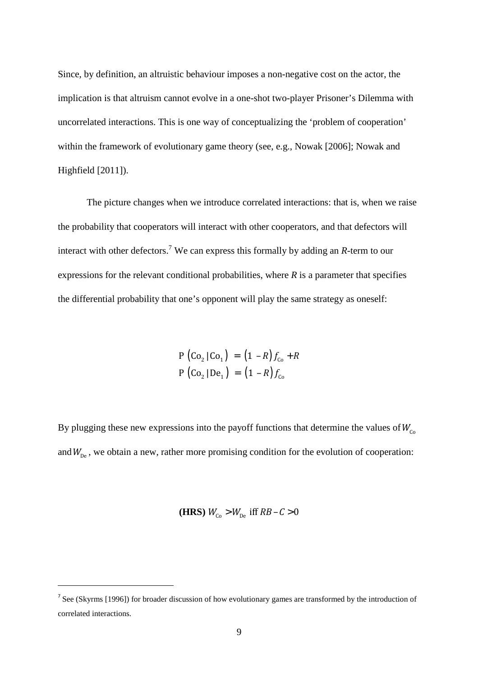Since, by definition, an altruistic behaviour imposes a non-negative cost on the actor, the implication is that altruism cannot evolve in a one-shot two-player Prisoner's Dilemma with uncorrelated interactions. This is one way of conceptualizing the 'problem of cooperation' within the framework of evolutionary game theory (see, e.g., Nowak [2006]; Nowak and Highfield [2011]).

The picture changes when we introduce correlated interactions: that is, when we raise the probability that cooperators will interact with other cooperators, and that defectors will interact with other defectors.<sup>7</sup> We can express this formally by adding an *R*-term to our expressions for the relevant conditional probabilities, where *R* is a parameter that specifies the differential probability that one's opponent will play the same strategy as oneself:

$$
P (Co2 | Co1) = (1 - R) fCo + R
$$
  

$$
P (Co2 | De1) = (1 - R) fCo
$$

By plugging these new expressions into the payoff functions that determine the values of  $W_{C_0}$ and  $W_{De}$ , we obtain a new, rather more promising condition for the evolution of cooperation:

**(HRS)**  $W_{C_0} > W_{De}$  iff  $RB - C > 0$ 

<sup>&</sup>lt;sup>7</sup> See (Skyrms [1996]) for broader discussion of how evolutionary games are transformed by the introduction of correlated interactions.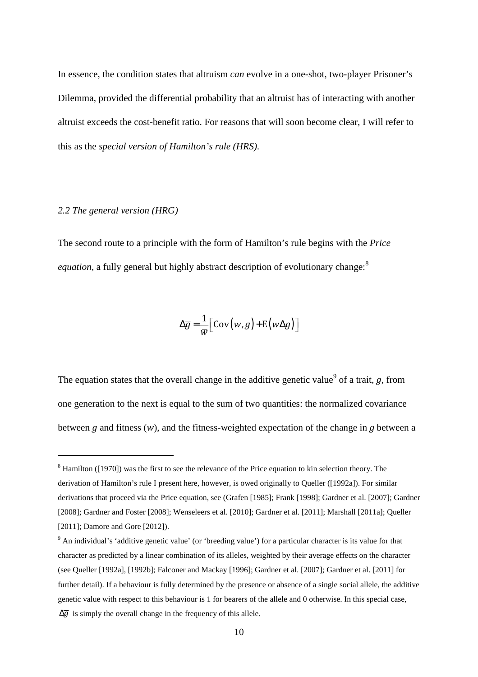In essence, the condition states that altruism *can* evolve in a one-shot, two-player Prisoner's Dilemma, provided the differential probability that an altruist has of interacting with another altruist exceeds the cost-benefit ratio. For reasons that will soon become clear, I will refer to this as the *special version of Hamilton's rule (HRS)*.

#### *2.2 The general version (HRG)*

 $\overline{\phantom{0}}$ 

The second route to a principle with the form of Hamilton's rule begins with the *Price equation*, a fully general but highly abstract description of evolutionary change:<sup>8</sup>

$$
\Delta \overline{g} = \frac{1}{\overline{w}} \Big[ \text{Cov}(w, g) + \text{E}(w \Delta g) \Big]
$$

The equation states that the overall change in the additive genetic value<sup>9</sup> of a trait,  $g$ , from one generation to the next is equal to the sum of two quantities: the normalized covariance between *g* and fitness (*w*), and the fitness-weighted expectation of the change in *g* between a

 $8$  Hamilton ([1970]) was the first to see the relevance of the Price equation to kin selection theory. The derivation of Hamilton's rule I present here, however, is owed originally to Queller ([1992a]). For similar derivations that proceed via the Price equation, see (Grafen [1985]; Frank [1998]; Gardner et al. [2007]; Gardner [2008]; Gardner and Foster [2008]; Wenseleers et al. [2010]; Gardner et al. [2011]; Marshall [2011a]; Queller [2011]; Damore and Gore [2012]).

 $9$  An individual's 'additive genetic value' (or 'breeding value') for a particular character is its value for that character as predicted by a linear combination of its alleles, weighted by their average effects on the character (see Queller [1992a], [1992b]; Falconer and Mackay [1996]; Gardner et al. [2007]; Gardner et al. [2011] for further detail). If a behaviour is fully determined by the presence or absence of a single social allele, the additive genetic value with respect to this behaviour is 1 for bearers of the allele and 0 otherwise. In this special case,  $\Delta \overline{q}$  is simply the overall change in the frequency of this allele.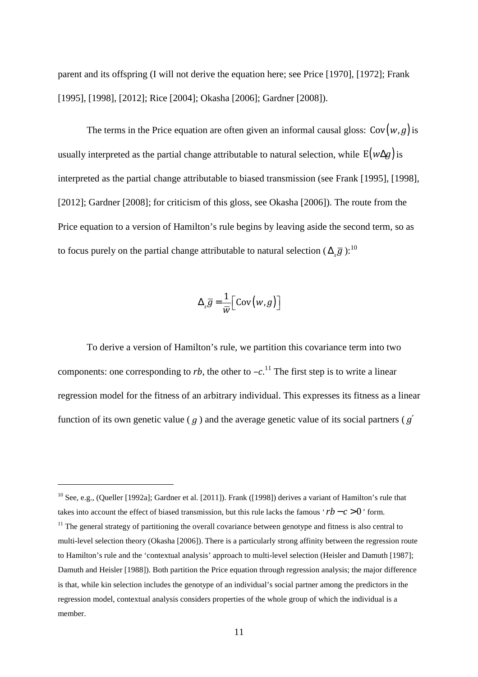parent and its offspring (I will not derive the equation here; see Price [1970], [1972]; Frank [1995], [1998], [2012]; Rice [2004]; Okasha [2006]; Gardner [2008]).

The terms in the Price equation are often given an informal causal gloss:  $Cov(w, g)$  is usually interpreted as the partial change attributable to natural selection, while  $E(w \Delta q)$  is interpreted as the partial change attributable to biased transmission (see Frank [1995], [1998], [2012]; Gardner [2008]; for criticism of this gloss, see Okasha [2006]). The route from the Price equation to a version of Hamilton's rule begins by leaving aside the second term, so as to focus purely on the partial change attributable to natural selection ( $\Delta_{\mathcal{S}}\bar{g}$  ):<sup>10</sup>

$$
\Delta_s \overline{g} = \frac{1}{\overline{w}} \Big[ \text{Cov}(w, g) \Big]
$$

To derive a version of Hamilton's rule, we partition this covariance term into two components: one corresponding to *rb*, the other to  $-c$ .<sup>11</sup> The first step is to write a linear regression model for the fitness of an arbitrary individual. This expresses its fitness as a linear function of its own genetic value ( *g* ) and the average genetic value of its social partners ( *g*′

<sup>&</sup>lt;sup>10</sup> See, e.g., (Queller [1992a]; Gardner et al. [2011]). Frank ([1998]) derives a variant of Hamilton's rule that takes into account the effect of biased transmission, but this rule lacks the famous ' $rb - c > 0$ ' form.

 $11$  The general strategy of partitioning the overall covariance between genotype and fitness is also central to multi-level selection theory (Okasha [2006]). There is a particularly strong affinity between the regression route to Hamilton's rule and the 'contextual analysis' approach to multi-level selection (Heisler and Damuth [1987]; Damuth and Heisler [1988]). Both partition the Price equation through regression analysis; the major difference is that, while kin selection includes the genotype of an individual's social partner among the predictors in the regression model, contextual analysis considers properties of the whole group of which the individual is a member.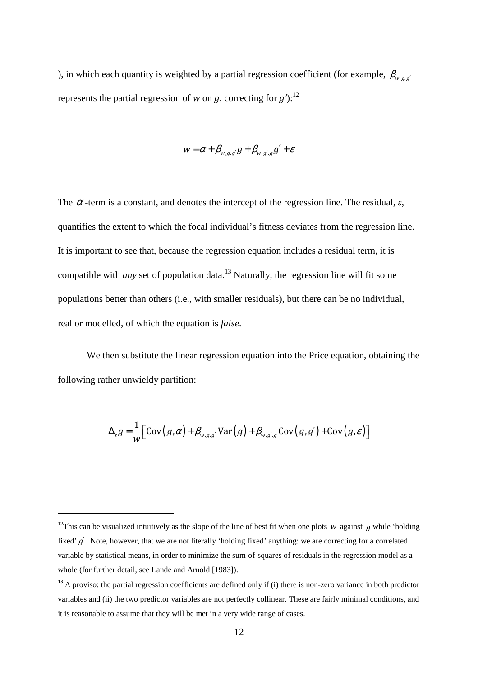), in which each quantity is weighted by a partial regression coefficient (for example,  $\beta_{w,q,q'}$ represents the partial regression of *w* on *g*, correcting for *g'*):<sup>12</sup>

$$
w = \alpha + \beta_{w,g,g'} g + \beta_{w,g',g} g' + \varepsilon
$$

The  $\alpha$ -term is a constant, and denotes the intercept of the regression line. The residual,  $\varepsilon$ , quantifies the extent to which the focal individual's fitness deviates from the regression line. It is important to see that, because the regression equation includes a residual term, it is compatible with *any* set of population data.<sup>13</sup> Naturally, the regression line will fit some populations better than others (i.e., with smaller residuals), but there can be no individual, real or modelled, of which the equation is *false*.

 We then substitute the linear regression equation into the Price equation, obtaining the following rather unwieldy partition:

$$
\Delta_{s}\overline{g} = \frac{1}{\overline{w}} \Big[ \text{Cov}(g,\alpha) + \beta_{w,g,g'} \text{Var}(g) + \beta_{w,g',g} \text{Cov}(g,g') + \text{Cov}(g,\varepsilon) \Big]
$$

<sup>&</sup>lt;sup>12</sup>This can be visualized intuitively as the slope of the line of best fit when one plots *w* against *g* while 'holding fixed' *g*′ . Note, however, that we are not literally 'holding fixed' anything: we are correcting for a correlated variable by statistical means, in order to minimize the sum-of-squares of residuals in the regression model as a whole (for further detail, see Lande and Arnold [1983]).

<sup>&</sup>lt;sup>13</sup> A proviso: the partial regression coefficients are defined only if (i) there is non-zero variance in both predictor variables and (ii) the two predictor variables are not perfectly collinear. These are fairly minimal conditions, and it is reasonable to assume that they will be met in a very wide range of cases.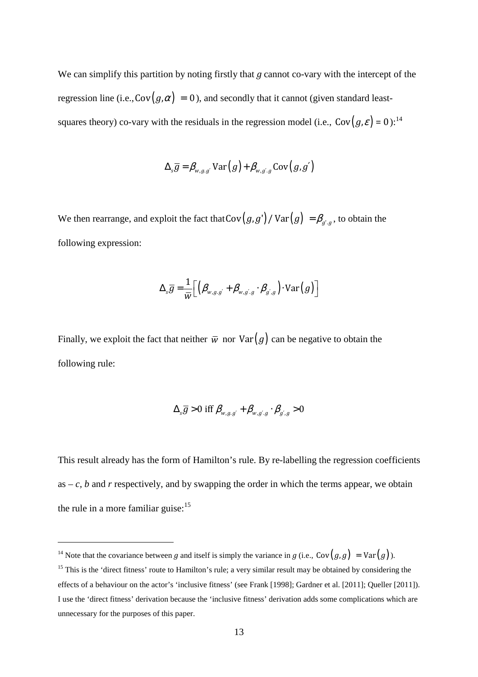We can simplify this partition by noting firstly that *g* cannot co-vary with the intercept of the regression line (i.e.,  $Cov(g, \alpha) = 0$ ), and secondly that it cannot (given standard leastsquares theory) co-vary with the residuals in the regression model (i.e.,  $Cov(g, \varepsilon) = 0$ ):<sup>14</sup>

$$
\Delta_{s}\overline{g} = \beta_{w,g,g'} \operatorname{Var}(g) + \beta_{w,g',g} \operatorname{Cov}(g,g')
$$

We then rearrange, and exploit the fact that  $Cov(g, g') / Var(g) = \beta_{g', g}$ , to obtain the following expression:

$$
\Delta_{s}\overline{g} = \frac{1}{\overline{w}} \Big[ \Big( \beta_{w,g,g'} + \beta_{w,g',g} \cdot \beta_{g',g} \Big) \cdot \text{Var}(g) \Big]
$$

Finally, we exploit the fact that neither  $\overline{w}$  nor  $Var(g)$  can be negative to obtain the following rule:

$$
\Delta_{s}\overline{g} > 0 \text{ iff } \beta_{w,g,g'} + \beta_{w,g',g} \cdot \beta_{g',g} > 0
$$

This result already has the form of Hamilton's rule. By re-labelling the regression coefficients as  $-c$ , b and r respectively, and by swapping the order in which the terms appear, we obtain the rule in a more familiar guise: $15$ 

<sup>&</sup>lt;sup>14</sup> Note that the covariance between *g* and itself is simply the variance in *g* (i.e., Cov $(g, g) = Var(g)$ ).

<sup>&</sup>lt;sup>15</sup> This is the 'direct fitness' route to Hamilton's rule; a very similar result may be obtained by considering the effects of a behaviour on the actor's 'inclusive fitness' (see Frank [1998]; Gardner et al. [2011]; Queller [2011]). I use the 'direct fitness' derivation because the 'inclusive fitness' derivation adds some complications which are unnecessary for the purposes of this paper.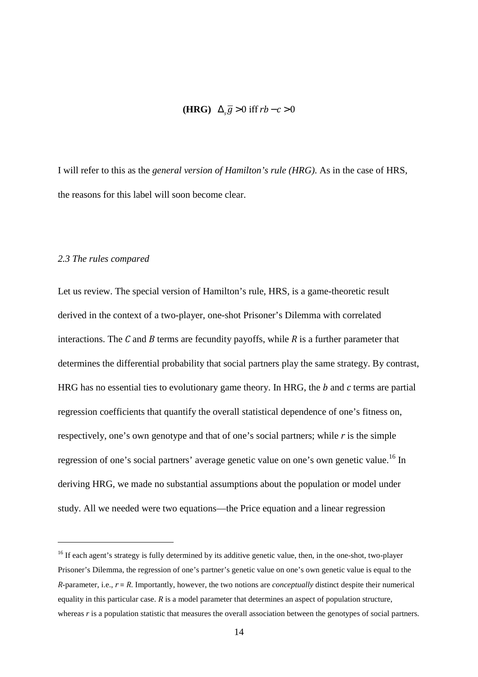#### $(HRG)$   $\Delta_{s}\overline{g} > 0$  iff  $rb - c > 0$

I will refer to this as the *general version of Hamilton's rule (HRG)*. As in the case of HRS, the reasons for this label will soon become clear.

#### *2.3 The rules compared*

 $\overline{\phantom{0}}$ 

Let us review. The special version of Hamilton's rule, HRS, is a game-theoretic result derived in the context of a two-player, one-shot Prisoner's Dilemma with correlated interactions. The *C* and *B* terms are fecundity payoffs, while *R* is a further parameter that determines the differential probability that social partners play the same strategy. By contrast, HRG has no essential ties to evolutionary game theory. In HRG, the *b* and *c* terms are partial regression coefficients that quantify the overall statistical dependence of one's fitness on, respectively, one's own genotype and that of one's social partners; while *r* is the simple regression of one's social partners' average genetic value on one's own genetic value.<sup>16</sup> In deriving HRG, we made no substantial assumptions about the population or model under study. All we needed were two equations—the Price equation and a linear regression

<sup>&</sup>lt;sup>16</sup> If each agent's strategy is fully determined by its additive genetic value, then, in the one-shot, two-player Prisoner's Dilemma, the regression of one's partner's genetic value on one's own genetic value is equal to the *R*-parameter, i.e., *r* = *R*. Importantly, however, the two notions are *conceptually* distinct despite their numerical equality in this particular case. *R* is a model parameter that determines an aspect of population structure, whereas *r* is a population statistic that measures the overall association between the genotypes of social partners.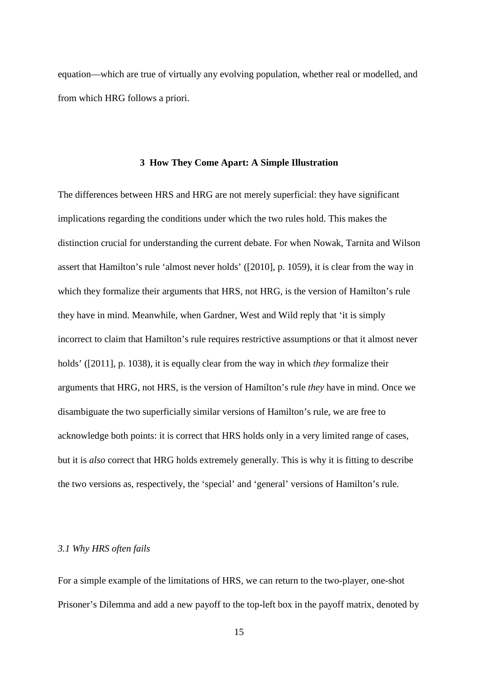equation—which are true of virtually any evolving population, whether real or modelled, and from which HRG follows a priori.

#### **3 How They Come Apart: A Simple Illustration**

The differences between HRS and HRG are not merely superficial: they have significant implications regarding the conditions under which the two rules hold. This makes the distinction crucial for understanding the current debate. For when Nowak, Tarnita and Wilson assert that Hamilton's rule 'almost never holds' ([2010], p. 1059), it is clear from the way in which they formalize their arguments that HRS, not HRG, is the version of Hamilton's rule they have in mind. Meanwhile, when Gardner, West and Wild reply that 'it is simply incorrect to claim that Hamilton's rule requires restrictive assumptions or that it almost never holds' ([2011], p. 1038), it is equally clear from the way in which *they* formalize their arguments that HRG, not HRS, is the version of Hamilton's rule *they* have in mind. Once we disambiguate the two superficially similar versions of Hamilton's rule, we are free to acknowledge both points: it is correct that HRS holds only in a very limited range of cases, but it is *also* correct that HRG holds extremely generally. This is why it is fitting to describe the two versions as, respectively, the 'special' and 'general' versions of Hamilton's rule.

#### *3.1 Why HRS often fails*

For a simple example of the limitations of HRS, we can return to the two-player, one-shot Prisoner's Dilemma and add a new payoff to the top-left box in the payoff matrix, denoted by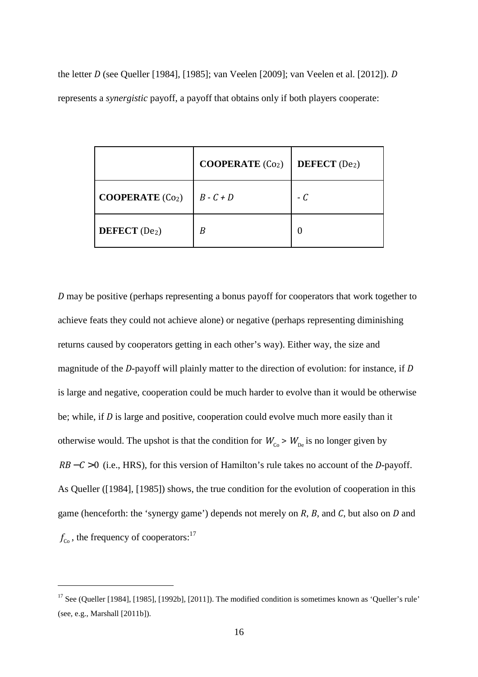the letter *D* (see Queller [1984], [1985]; van Veelen [2009]; van Veelen et al. [2012]). *D* represents a *synergistic* payoff, a payoff that obtains only if both players cooperate:

|                                  | <b>COOPERATE</b> $(Co2)$ | <b>DEFECT</b> $(De2)$ |
|----------------------------------|--------------------------|-----------------------|
| <b>COOPERATE</b> $(Co2)$         | $B - C + D$              | - C                   |
| <b>DEFECT</b> (De <sub>2</sub> ) | B                        |                       |

*D* may be positive (perhaps representing a bonus payoff for cooperators that work together to achieve feats they could not achieve alone) or negative (perhaps representing diminishing returns caused by cooperators getting in each other's way). Either way, the size and magnitude of the *D*-payoff will plainly matter to the direction of evolution: for instance, if *D* is large and negative, cooperation could be much harder to evolve than it would be otherwise be; while, if *D* is large and positive, cooperation could evolve much more easily than it otherwise would. The upshot is that the condition for  $W_{C_0}$  >  $W_{De}$  is no longer given by *RB* − *C* > 0 (i.e., HRS), for this version of Hamilton's rule takes no account of the *D*-payoff. As Queller ([1984], [1985]) shows, the true condition for the evolution of cooperation in this game (henceforth: the 'synergy game') depends not merely on *R*, *B*, and *C*, but also on *D* and  $f_{\rm co}$ , the frequency of cooperators:<sup>17</sup>

<sup>&</sup>lt;sup>17</sup> See (Queller [1984], [1985], [1992b], [2011]). The modified condition is sometimes known as 'Queller's rule' (see, e.g., Marshall [2011b]).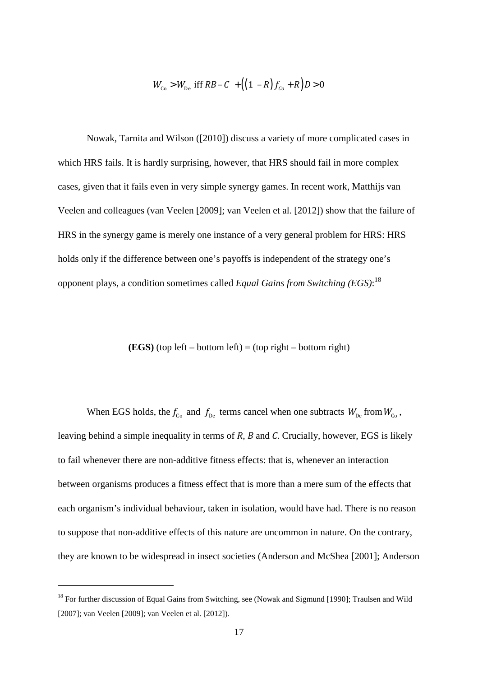$$
W_{\rm Co} > W_{\rm De} \text{ iff } RB - C + \left( (1 - R) f_{\rm Co} + R \right) D > 0
$$

Nowak, Tarnita and Wilson ([2010]) discuss a variety of more complicated cases in which HRS fails. It is hardly surprising, however, that HRS should fail in more complex cases, given that it fails even in very simple synergy games. In recent work, Matthijs van Veelen and colleagues (van Veelen [2009]; van Veelen et al. [2012]) show that the failure of HRS in the synergy game is merely one instance of a very general problem for HRS: HRS holds only if the difference between one's payoffs is independent of the strategy one's opponent plays, a condition sometimes called *Equal Gains from Switching (EGS)*: 18

#### **(EGS)** (top left – bottom left) = (top right – bottom right)

When EGS holds, the  $f_{\text{Co}}$  and  $f_{\text{De}}$  terms cancel when one subtracts  $W_{\text{De}}$  from  $W_{\text{Co}}$ , leaving behind a simple inequality in terms of *R*, *B* and *C*. Crucially, however, EGS is likely to fail whenever there are non-additive fitness effects: that is, whenever an interaction between organisms produces a fitness effect that is more than a mere sum of the effects that each organism's individual behaviour, taken in isolation, would have had. There is no reason to suppose that non-additive effects of this nature are uncommon in nature. On the contrary, they are known to be widespread in insect societies (Anderson and McShea [2001]; Anderson

<sup>&</sup>lt;sup>18</sup> For further discussion of Equal Gains from Switching, see (Nowak and Sigmund [1990]; Traulsen and Wild [2007]; van Veelen [2009]; van Veelen et al. [2012]).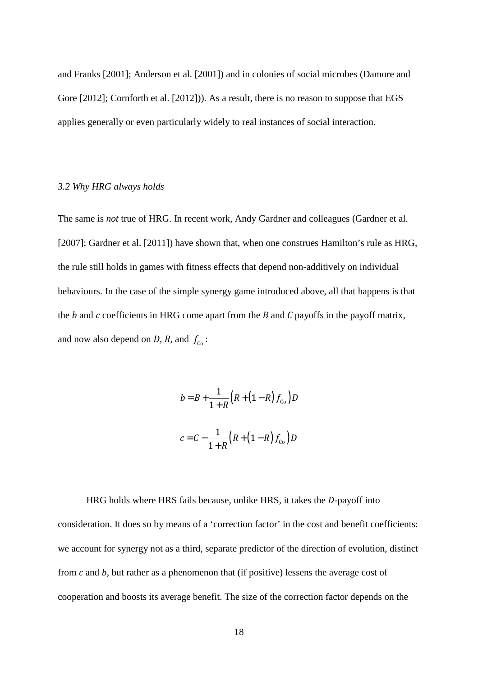and Franks [2001]; Anderson et al. [2001]) and in colonies of social microbes (Damore and Gore [2012]; Cornforth et al. [2012])). As a result, there is no reason to suppose that EGS applies generally or even particularly widely to real instances of social interaction.

#### *3.2 Why HRG always holds*

The same is *not* true of HRG. In recent work, Andy Gardner and colleagues (Gardner et al. [2007]; Gardner et al. [2011]) have shown that, when one construes Hamilton's rule as HRG, the rule still holds in games with fitness effects that depend non-additively on individual behaviours. In the case of the simple synergy game introduced above, all that happens is that the *b* and *c* coefficients in HRG come apart from the *B* and *C* payoffs in the payoff matrix, and now also depend on *D*, *R*, and  $f_{c}$ :

$$
b = B + \frac{1}{1+R} (R + (1-R) f_{\text{Co}}) D
$$

$$
c = C - \frac{1}{1+R} (R + (1-R) f_{\text{Co}}) D
$$

HRG holds where HRS fails because, unlike HRS, it takes the *D*-payoff into consideration. It does so by means of a 'correction factor' in the cost and benefit coefficients: we account for synergy not as a third, separate predictor of the direction of evolution, distinct from *c* and *b*, but rather as a phenomenon that (if positive) lessens the average cost of cooperation and boosts its average benefit. The size of the correction factor depends on the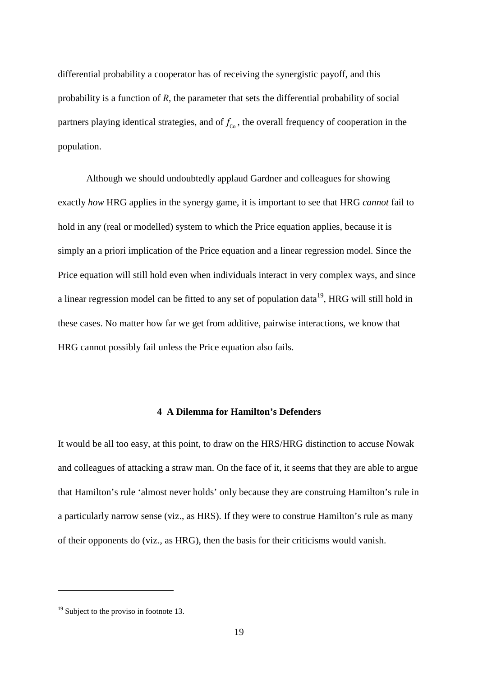differential probability a cooperator has of receiving the synergistic payoff, and this probability is a function of *R*, the parameter that sets the differential probability of social partners playing identical strategies, and of  $f_{\rm co}$ , the overall frequency of cooperation in the population.

Although we should undoubtedly applaud Gardner and colleagues for showing exactly *how* HRG applies in the synergy game, it is important to see that HRG *cannot* fail to hold in any (real or modelled) system to which the Price equation applies, because it is simply an a priori implication of the Price equation and a linear regression model. Since the Price equation will still hold even when individuals interact in very complex ways, and since a linear regression model can be fitted to any set of population data<sup>19</sup>, HRG will still hold in these cases. No matter how far we get from additive, pairwise interactions, we know that HRG cannot possibly fail unless the Price equation also fails.

#### **4 A Dilemma for Hamilton's Defenders**

It would be all too easy, at this point, to draw on the HRS/HRG distinction to accuse Nowak and colleagues of attacking a straw man. On the face of it, it seems that they are able to argue that Hamilton's rule 'almost never holds' only because they are construing Hamilton's rule in a particularly narrow sense (viz., as HRS). If they were to construe Hamilton's rule as many of their opponents do (viz., as HRG), then the basis for their criticisms would vanish.

 $19$  Subject to the proviso in footnote 13.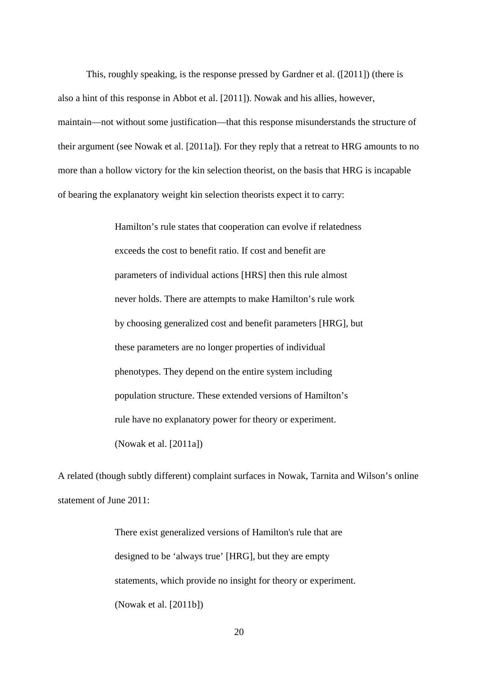This, roughly speaking, is the response pressed by Gardner et al. ([2011]) (there is also a hint of this response in Abbot et al. [2011]). Nowak and his allies, however, maintain—not without some justification—that this response misunderstands the structure of their argument (see Nowak et al. [2011a]). For they reply that a retreat to HRG amounts to no more than a hollow victory for the kin selection theorist, on the basis that HRG is incapable of bearing the explanatory weight kin selection theorists expect it to carry:

> Hamilton's rule states that cooperation can evolve if relatedness exceeds the cost to benefit ratio. If cost and benefit are parameters of individual actions [HRS] then this rule almost never holds. There are attempts to make Hamilton's rule work by choosing generalized cost and benefit parameters [HRG], but these parameters are no longer properties of individual phenotypes. They depend on the entire system including population structure. These extended versions of Hamilton's rule have no explanatory power for theory or experiment. (Nowak et al. [2011a])

A related (though subtly different) complaint surfaces in Nowak, Tarnita and Wilson's online statement of June 2011:

> There exist generalized versions of Hamilton's rule that are designed to be 'always true' [HRG], but they are empty statements, which provide no insight for theory or experiment. (Nowak et al. [2011b])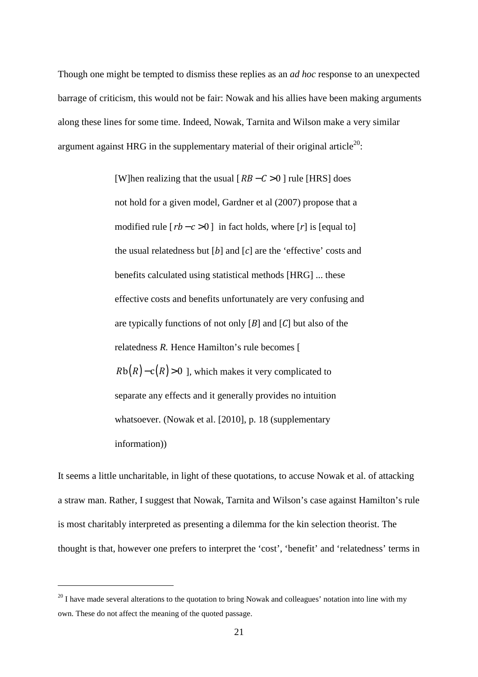Though one might be tempted to dismiss these replies as an *ad hoc* response to an unexpected barrage of criticism, this would not be fair: Nowak and his allies have been making arguments along these lines for some time. Indeed, Nowak, Tarnita and Wilson make a very similar argument against HRG in the supplementary material of their original article<sup>20</sup>:

> [W]hen realizing that the usual [*RB – C* > 0 ] rule [HRS] does not hold for a given model, Gardner et al (2007) propose that a modified rule  $[rb-c>0]$  in fact holds, where  $[r]$  is [equal to] the usual relatedness but [*b*] and [*c*] are the 'effective' costs and benefits calculated using statistical methods [HRG] ... these effective costs and benefits unfortunately are very confusing and are typically functions of not only [*B*] and [*C*] but also of the relatedness *R.* Hence Hamilton's rule becomes [  $Rb(R) - c(R) > 0$  ], which makes it very complicated to separate any effects and it generally provides no intuition whatsoever. (Nowak et al. [2010], p. 18 (supplementary information))

It seems a little uncharitable, in light of these quotations, to accuse Nowak et al. of attacking a straw man. Rather, I suggest that Nowak, Tarnita and Wilson's case against Hamilton's rule is most charitably interpreted as presenting a dilemma for the kin selection theorist. The thought is that, however one prefers to interpret the 'cost', 'benefit' and 'relatedness' terms in

<sup>&</sup>lt;sup>20</sup> I have made several alterations to the quotation to bring Nowak and colleagues' notation into line with my own. These do not affect the meaning of the quoted passage.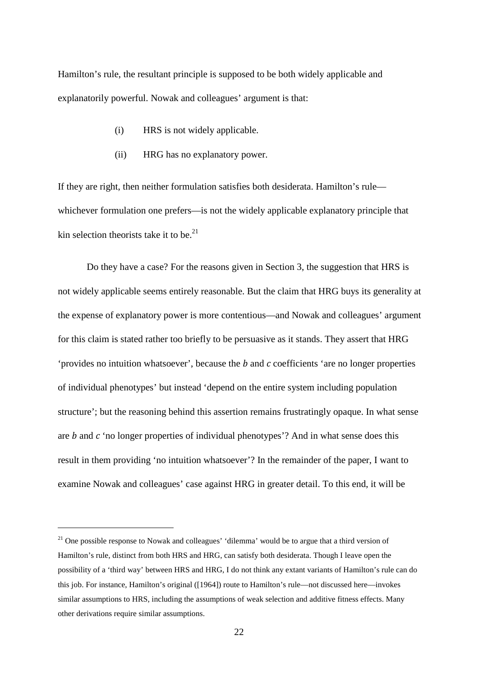Hamilton's rule, the resultant principle is supposed to be both widely applicable and explanatorily powerful. Nowak and colleagues' argument is that:

- (i) HRS is not widely applicable.
- (ii) HRG has no explanatory power.

If they are right, then neither formulation satisfies both desiderata. Hamilton's rule whichever formulation one prefers—is not the widely applicable explanatory principle that kin selection theorists take it to be. $^{21}$ 

Do they have a case? For the reasons given in Section 3, the suggestion that HRS is not widely applicable seems entirely reasonable. But the claim that HRG buys its generality at the expense of explanatory power is more contentious—and Nowak and colleagues' argument for this claim is stated rather too briefly to be persuasive as it stands. They assert that HRG 'provides no intuition whatsoever', because the *b* and *c* coefficients 'are no longer properties of individual phenotypes' but instead 'depend on the entire system including population structure'; but the reasoning behind this assertion remains frustratingly opaque. In what sense are *b* and *c* 'no longer properties of individual phenotypes'? And in what sense does this result in them providing 'no intuition whatsoever'? In the remainder of the paper, I want to examine Nowak and colleagues' case against HRG in greater detail. To this end, it will be

<sup>&</sup>lt;sup>21</sup> One possible response to Nowak and colleagues' 'dilemma' would be to argue that a third version of Hamilton's rule, distinct from both HRS and HRG, can satisfy both desiderata. Though I leave open the possibility of a 'third way' between HRS and HRG, I do not think any extant variants of Hamilton's rule can do this job. For instance, Hamilton's original ([1964]) route to Hamilton's rule—not discussed here—invokes similar assumptions to HRS, including the assumptions of weak selection and additive fitness effects. Many other derivations require similar assumptions.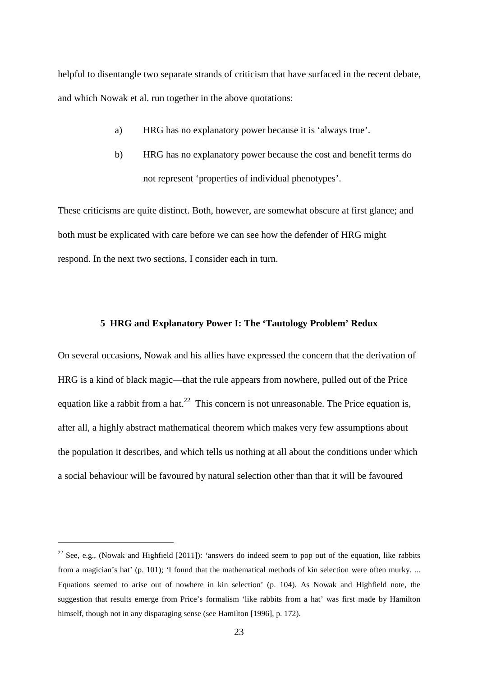helpful to disentangle two separate strands of criticism that have surfaced in the recent debate, and which Nowak et al. run together in the above quotations:

- a) HRG has no explanatory power because it is 'always true'.
- b) HRG has no explanatory power because the cost and benefit terms do not represent 'properties of individual phenotypes'.

These criticisms are quite distinct. Both, however, are somewhat obscure at first glance; and both must be explicated with care before we can see how the defender of HRG might respond. In the next two sections, I consider each in turn.

#### **5 HRG and Explanatory Power I: The 'Tautology Problem' Redux**

On several occasions, Nowak and his allies have expressed the concern that the derivation of HRG is a kind of black magic—that the rule appears from nowhere, pulled out of the Price equation like a rabbit from a hat.<sup>22</sup> This concern is not unreasonable. The Price equation is, after all, a highly abstract mathematical theorem which makes very few assumptions about the population it describes, and which tells us nothing at all about the conditions under which a social behaviour will be favoured by natural selection other than that it will be favoured

<sup>&</sup>lt;sup>22</sup> See, e.g., (Nowak and Highfield [2011]): 'answers do indeed seem to pop out of the equation, like rabbits from a magician's hat' (p. 101); 'I found that the mathematical methods of kin selection were often murky. ... Equations seemed to arise out of nowhere in kin selection' (p. 104). As Nowak and Highfield note, the suggestion that results emerge from Price's formalism 'like rabbits from a hat' was first made by Hamilton himself, though not in any disparaging sense (see Hamilton [1996], p. 172).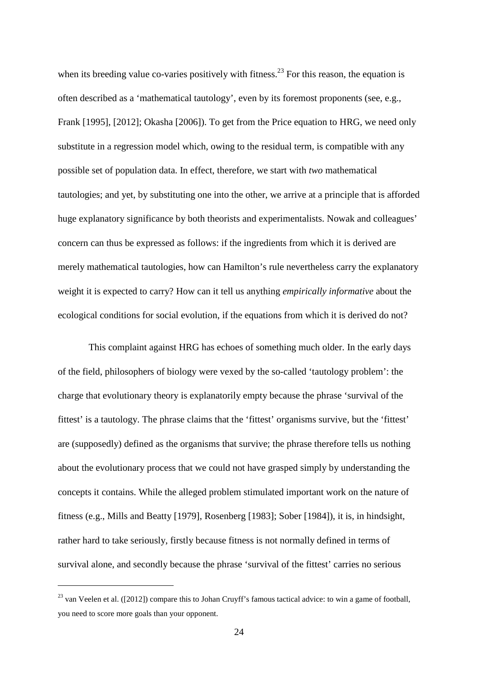when its breeding value co-varies positively with fitness.<sup>23</sup> For this reason, the equation is often described as a 'mathematical tautology', even by its foremost proponents (see, e.g., Frank [1995], [2012]; Okasha [2006]). To get from the Price equation to HRG, we need only substitute in a regression model which, owing to the residual term, is compatible with any possible set of population data. In effect, therefore, we start with *two* mathematical tautologies; and yet, by substituting one into the other, we arrive at a principle that is afforded huge explanatory significance by both theorists and experimentalists. Nowak and colleagues' concern can thus be expressed as follows: if the ingredients from which it is derived are merely mathematical tautologies, how can Hamilton's rule nevertheless carry the explanatory weight it is expected to carry? How can it tell us anything *empirically informative* about the ecological conditions for social evolution, if the equations from which it is derived do not?

 This complaint against HRG has echoes of something much older. In the early days of the field, philosophers of biology were vexed by the so-called 'tautology problem': the charge that evolutionary theory is explanatorily empty because the phrase 'survival of the fittest' is a tautology. The phrase claims that the 'fittest' organisms survive, but the 'fittest' are (supposedly) defined as the organisms that survive; the phrase therefore tells us nothing about the evolutionary process that we could not have grasped simply by understanding the concepts it contains. While the alleged problem stimulated important work on the nature of fitness (e.g., Mills and Beatty [1979], Rosenberg [1983]; Sober [1984]), it is, in hindsight, rather hard to take seriously, firstly because fitness is not normally defined in terms of survival alone, and secondly because the phrase 'survival of the fittest' carries no serious

 $^{23}$  van Veelen et al. ([2012]) compare this to Johan Cruyff's famous tactical advice: to win a game of football, you need to score more goals than your opponent.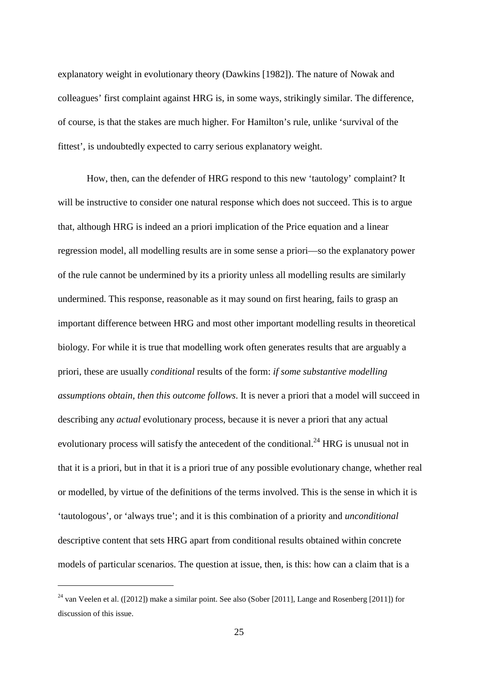explanatory weight in evolutionary theory (Dawkins [1982]). The nature of Nowak and colleagues' first complaint against HRG is, in some ways, strikingly similar. The difference, of course, is that the stakes are much higher. For Hamilton's rule, unlike 'survival of the fittest', is undoubtedly expected to carry serious explanatory weight.

How, then, can the defender of HRG respond to this new 'tautology' complaint? It will be instructive to consider one natural response which does not succeed. This is to argue that, although HRG is indeed an a priori implication of the Price equation and a linear regression model, all modelling results are in some sense a priori—so the explanatory power of the rule cannot be undermined by its a priority unless all modelling results are similarly undermined. This response, reasonable as it may sound on first hearing, fails to grasp an important difference between HRG and most other important modelling results in theoretical biology. For while it is true that modelling work often generates results that are arguably a priori, these are usually *conditional* results of the form: *if some substantive modelling assumptions obtain, then this outcome follows*. It is never a priori that a model will succeed in describing any *actual* evolutionary process, because it is never a priori that any actual evolutionary process will satisfy the antecedent of the conditional.<sup>24</sup> HRG is unusual not in that it is a priori, but in that it is a priori true of any possible evolutionary change, whether real or modelled, by virtue of the definitions of the terms involved. This is the sense in which it is 'tautologous', or 'always true'; and it is this combination of a priority and *unconditional* descriptive content that sets HRG apart from conditional results obtained within concrete models of particular scenarios. The question at issue, then, is this: how can a claim that is a

<sup>24</sup> van Veelen et al. ([2012]) make a similar point. See also (Sober [2011], Lange and Rosenberg [2011]) for discussion of this issue.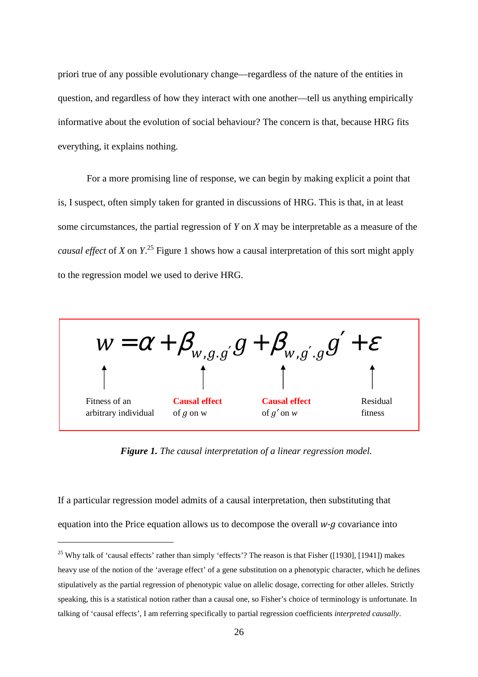priori true of any possible evolutionary change—regardless of the nature of the entities in question, and regardless of how they interact with one another—tell us anything empirically informative about the evolution of social behaviour? The concern is that, because HRG fits everything, it explains nothing.

For a more promising line of response, we can begin by making explicit a point that is, I suspect, often simply taken for granted in discussions of HRG. This is that, in at least some circumstances, the partial regression of *Y* on *X* may be interpretable as a measure of the *causal effect* of *X* on *Y*. <sup>25</sup> Figure 1 shows how a causal interpretation of this sort might apply to the regression model we used to derive HRG.



*Figure 1. The causal interpretation of a linear regression model.*

If a particular regression model admits of a causal interpretation, then substituting that equation into the Price equation allows us to decompose the overall *w-g* covariance into

<sup>&</sup>lt;sup>25</sup> Why talk of 'causal effects' rather than simply 'effects'? The reason is that Fisher ([1930], [1941]) makes heavy use of the notion of the 'average effect' of a gene substitution on a phenotypic character, which he defines stipulatively as the partial regression of phenotypic value on allelic dosage, correcting for other alleles. Strictly speaking, this is a statistical notion rather than a causal one, so Fisher's choice of terminology is unfortunate. In talking of 'causal effects', I am referring specifically to partial regression coefficients *interpreted causally*.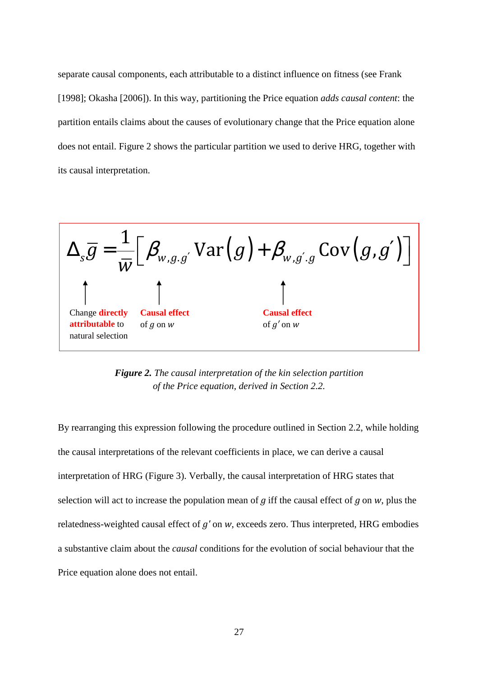separate causal components, each attributable to a distinct influence on fitness (see Frank [1998]; Okasha [2006]). In this way, partitioning the Price equation *adds causal content*: the partition entails claims about the causes of evolutionary change that the Price equation alone does not entail. Figure 2 shows the particular partition we used to derive HRG, together with its causal interpretation.



*Figure 2. The causal interpretation of the kin selection partition of the Price equation, derived in Section 2.2.* 

By rearranging this expression following the procedure outlined in Section 2.2, while holding the causal interpretations of the relevant coefficients in place, we can derive a causal interpretation of HRG (Figure 3). Verbally, the causal interpretation of HRG states that selection will act to increase the population mean of *g* iff the causal effect of *g* on *w*, plus the relatedness-weighted causal effect of *g'* on *w*, exceeds zero. Thus interpreted, HRG embodies a substantive claim about the *causal* conditions for the evolution of social behaviour that the Price equation alone does not entail.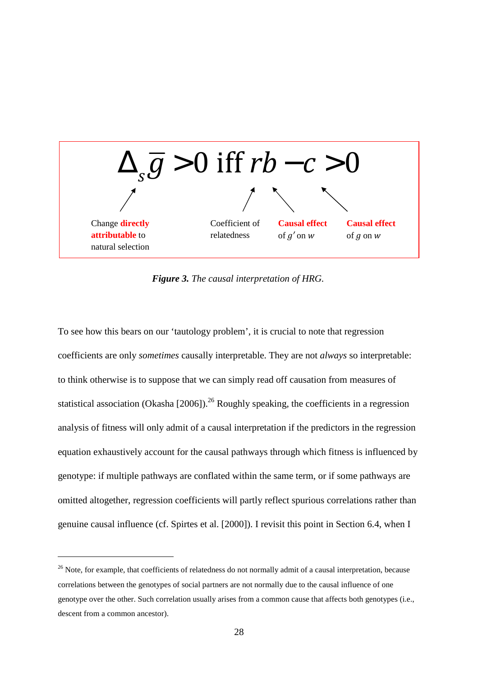

*Figure 3. The causal interpretation of HRG.* 

To see how this bears on our 'tautology problem', it is crucial to note that regression coefficients are only *sometimes* causally interpretable. They are not *always* so interpretable: to think otherwise is to suppose that we can simply read off causation from measures of statistical association (Okasha [2006]).<sup>26</sup> Roughly speaking, the coefficients in a regression analysis of fitness will only admit of a causal interpretation if the predictors in the regression equation exhaustively account for the causal pathways through which fitness is influenced by genotype: if multiple pathways are conflated within the same term, or if some pathways are omitted altogether, regression coefficients will partly reflect spurious correlations rather than genuine causal influence (cf. Spirtes et al. [2000]). I revisit this point in Section 6.4, when I

<sup>&</sup>lt;sup>26</sup> Note, for example, that coefficients of relatedness do not normally admit of a causal interpretation, because correlations between the genotypes of social partners are not normally due to the causal influence of one genotype over the other. Such correlation usually arises from a common cause that affects both genotypes (i.e., descent from a common ancestor).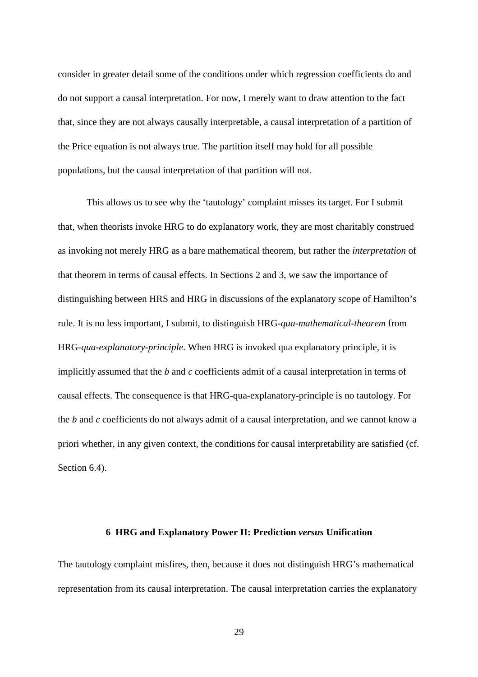consider in greater detail some of the conditions under which regression coefficients do and do not support a causal interpretation. For now, I merely want to draw attention to the fact that, since they are not always causally interpretable, a causal interpretation of a partition of the Price equation is not always true. The partition itself may hold for all possible populations, but the causal interpretation of that partition will not.

This allows us to see why the 'tautology' complaint misses its target. For I submit that, when theorists invoke HRG to do explanatory work, they are most charitably construed as invoking not merely HRG as a bare mathematical theorem, but rather the *interpretation* of that theorem in terms of causal effects. In Sections 2 and 3, we saw the importance of distinguishing between HRS and HRG in discussions of the explanatory scope of Hamilton's rule. It is no less important, I submit, to distinguish HRG*-qua-mathematical-theorem* from HRG*-qua-explanatory-principle*. When HRG is invoked qua explanatory principle, it is implicitly assumed that the *b* and *c* coefficients admit of a causal interpretation in terms of causal effects. The consequence is that HRG-qua-explanatory-principle is no tautology. For the *b* and *c* coefficients do not always admit of a causal interpretation, and we cannot know a priori whether, in any given context, the conditions for causal interpretability are satisfied (cf. Section 6.4).

#### **6 HRG and Explanatory Power II: Prediction** *versus* **Unification**

The tautology complaint misfires, then, because it does not distinguish HRG's mathematical representation from its causal interpretation. The causal interpretation carries the explanatory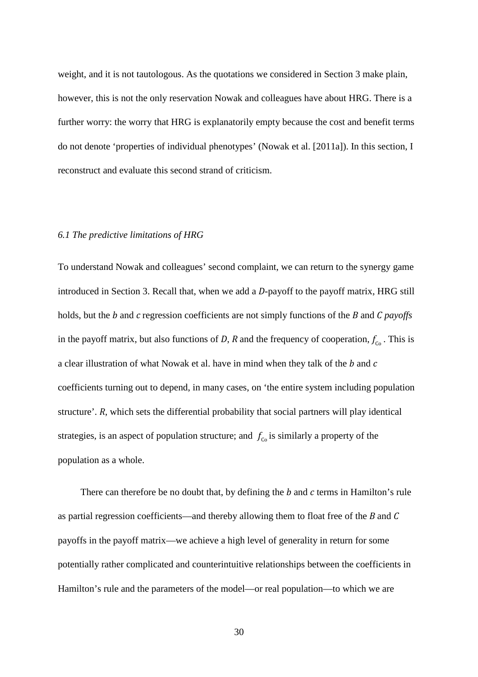weight, and it is not tautologous. As the quotations we considered in Section 3 make plain, however, this is not the only reservation Nowak and colleagues have about HRG. There is a further worry: the worry that HRG is explanatorily empty because the cost and benefit terms do not denote 'properties of individual phenotypes' (Nowak et al. [2011a]). In this section, I reconstruct and evaluate this second strand of criticism.

#### *6.1 The predictive limitations of HRG*

To understand Nowak and colleagues' second complaint, we can return to the synergy game introduced in Section 3. Recall that, when we add a *D*-payoff to the payoff matrix, HRG still holds, but the *b* and *c* regression coefficients are not simply functions of the *B* and *C payoffs* in the payoff matrix, but also functions of *D*, *R* and the frequency of cooperation,  $f_{\rm co}$ . This is a clear illustration of what Nowak et al. have in mind when they talk of the *b* and *c* coefficients turning out to depend, in many cases, on 'the entire system including population structure'. *R*, which sets the differential probability that social partners will play identical strategies, is an aspect of population structure; and  $f<sub>co</sub>$  is similarly a property of the population as a whole.

 There can therefore be no doubt that, by defining the *b* and *c* terms in Hamilton's rule as partial regression coefficients—and thereby allowing them to float free of the *B* and *C* payoffs in the payoff matrix—we achieve a high level of generality in return for some potentially rather complicated and counterintuitive relationships between the coefficients in Hamilton's rule and the parameters of the model—or real population—to which we are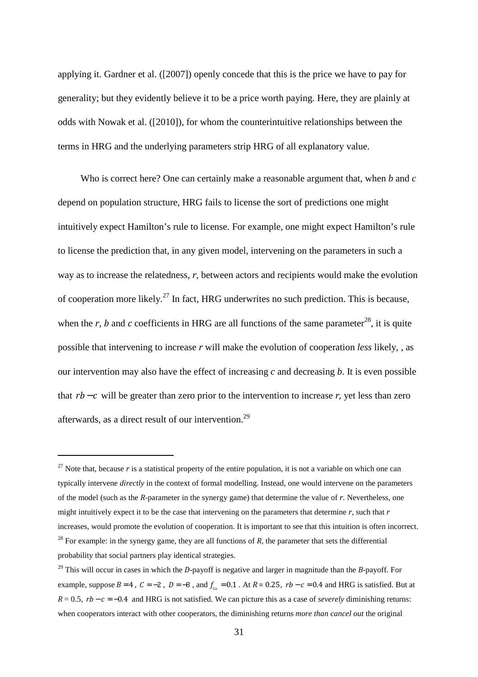applying it. Gardner et al. ([2007]) openly concede that this is the price we have to pay for generality; but they evidently believe it to be a price worth paying. Here, they are plainly at odds with Nowak et al. ([2010]), for whom the counterintuitive relationships between the terms in HRG and the underlying parameters strip HRG of all explanatory value.

 Who is correct here? One can certainly make a reasonable argument that, when *b* and *c* depend on population structure, HRG fails to license the sort of predictions one might intuitively expect Hamilton's rule to license. For example, one might expect Hamilton's rule to license the prediction that, in any given model, intervening on the parameters in such a way as to increase the relatedness, *r*, between actors and recipients would make the evolution of cooperation more likely.<sup>27</sup> In fact, HRG underwrites no such prediction. This is because, when the *r*, *b* and *c* coefficients in HRG are all functions of the same parameter<sup>28</sup>, it is quite possible that intervening to increase *r* will make the evolution of cooperation *less* likely, , as our intervention may also have the effect of increasing *c* and decreasing *b*. It is even possible that  $rb - c$  will be greater than zero prior to the intervention to increase  $r$ , yet less than zero afterwards, as a direct result of our intervention.<sup>29</sup>

<sup>&</sup>lt;sup>27</sup> Note that, because  $r$  is a statistical property of the entire population, it is not a variable on which one can typically intervene *directly* in the context of formal modelling. Instead, one would intervene on the parameters of the model (such as the *R*-parameter in the synergy game) that determine the value of *r*. Nevertheless, one might intuitively expect it to be the case that intervening on the parameters that determine *r*, such that *r* increases, would promote the evolution of cooperation. It is important to see that this intuition is often incorrect. <sup>28</sup> For example: in the synergy game, they are all functions of  $R$ , the parameter that sets the differential probability that social partners play identical strategies.

<sup>29</sup> This will occur in cases in which the *D*-payoff is negative and larger in magnitude than the *B*-payoff. For example, suppose  $B = 4$ ,  $C = -2$ ,  $D = -8$ , and  $f_{c_0} = 0.1$ . At  $R = 0.25$ ,  $rb - c = 0.4$  and HRG is satisfied. But at  $R = 0.5$ ,  $rb - c = -0.4$  and HRG is not satisfied. We can picture this as a case of *severely* diminishing returns: when cooperators interact with other cooperators, the diminishing returns *more than cancel out* the original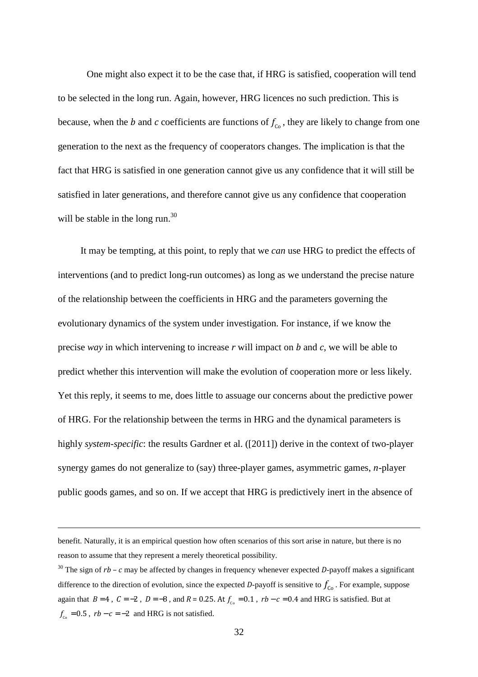One might also expect it to be the case that, if HRG is satisfied, cooperation will tend to be selected in the long run. Again, however, HRG licences no such prediction. This is because, when the *b* and *c* coefficients are functions of  $f_{c}$ , they are likely to change from one generation to the next as the frequency of cooperators changes. The implication is that the fact that HRG is satisfied in one generation cannot give us any confidence that it will still be satisfied in later generations, and therefore cannot give us any confidence that cooperation will be stable in the long run. $^{30}$ 

It may be tempting, at this point, to reply that we *can* use HRG to predict the effects of interventions (and to predict long-run outcomes) as long as we understand the precise nature of the relationship between the coefficients in HRG and the parameters governing the evolutionary dynamics of the system under investigation. For instance, if we know the precise *way* in which intervening to increase *r* will impact on *b* and *c*, we will be able to predict whether this intervention will make the evolution of cooperation more or less likely. Yet this reply, it seems to me, does little to assuage our concerns about the predictive power of HRG. For the relationship between the terms in HRG and the dynamical parameters is highly *system-specific*: the results Gardner et al. ([2011]) derive in the context of two-player synergy games do not generalize to (say) three-player games, asymmetric games, *n*-player public goods games, and so on. If we accept that HRG is predictively inert in the absence of

benefit. Naturally, it is an empirical question how often scenarios of this sort arise in nature, but there is no reason to assume that they represent a merely theoretical possibility.

<sup>30</sup> The sign of *rb – c* may be affected by changes in frequency whenever expected *D*-payoff makes a significant difference to the direction of evolution, since the expected *D*-payoff is sensitive to  $f_{\rm co}$ . For example, suppose again that  $B = 4$ ,  $C = -2$ ,  $D = -8$ , and  $R = 0.25$ . At  $f_{c0} = 0.1$ ,  $rb - c = 0.4$  and HRG is satisfied. But at  $f_{c}$  = 0.5,  $rb - c = -2$  and HRG is not satisfied.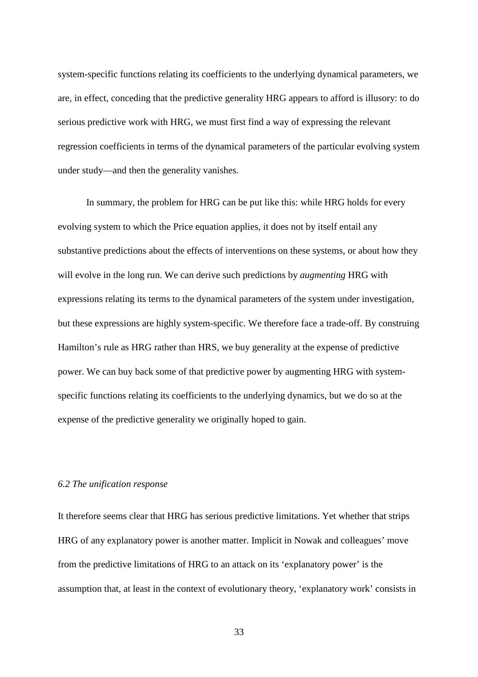system-specific functions relating its coefficients to the underlying dynamical parameters, we are, in effect, conceding that the predictive generality HRG appears to afford is illusory: to do serious predictive work with HRG, we must first find a way of expressing the relevant regression coefficients in terms of the dynamical parameters of the particular evolving system under study—and then the generality vanishes.

In summary, the problem for HRG can be put like this: while HRG holds for every evolving system to which the Price equation applies, it does not by itself entail any substantive predictions about the effects of interventions on these systems, or about how they will evolve in the long run. We can derive such predictions by *augmenting* HRG with expressions relating its terms to the dynamical parameters of the system under investigation, but these expressions are highly system-specific. We therefore face a trade-off. By construing Hamilton's rule as HRG rather than HRS, we buy generality at the expense of predictive power. We can buy back some of that predictive power by augmenting HRG with systemspecific functions relating its coefficients to the underlying dynamics, but we do so at the expense of the predictive generality we originally hoped to gain.

#### *6.2 The unification response*

It therefore seems clear that HRG has serious predictive limitations. Yet whether that strips HRG of any explanatory power is another matter. Implicit in Nowak and colleagues' move from the predictive limitations of HRG to an attack on its 'explanatory power' is the assumption that, at least in the context of evolutionary theory, 'explanatory work' consists in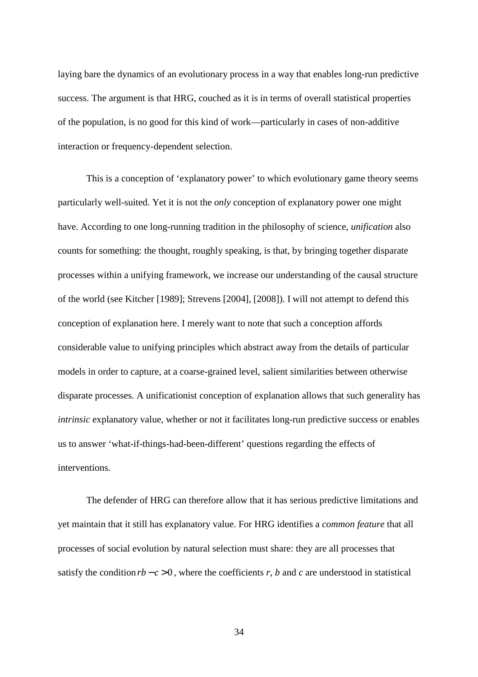laying bare the dynamics of an evolutionary process in a way that enables long-run predictive success. The argument is that HRG, couched as it is in terms of overall statistical properties of the population, is no good for this kind of work—particularly in cases of non-additive interaction or frequency-dependent selection.

This is a conception of 'explanatory power' to which evolutionary game theory seems particularly well-suited. Yet it is not the *only* conception of explanatory power one might have. According to one long-running tradition in the philosophy of science, *unification* also counts for something: the thought, roughly speaking, is that, by bringing together disparate processes within a unifying framework, we increase our understanding of the causal structure of the world (see Kitcher [1989]; Strevens [2004], [2008]). I will not attempt to defend this conception of explanation here. I merely want to note that such a conception affords considerable value to unifying principles which abstract away from the details of particular models in order to capture, at a coarse-grained level, salient similarities between otherwise disparate processes. A unificationist conception of explanation allows that such generality has *intrinsic* explanatory value, whether or not it facilitates long-run predictive success or enables us to answer 'what-if-things-had-been-different' questions regarding the effects of interventions.

The defender of HRG can therefore allow that it has serious predictive limitations and yet maintain that it still has explanatory value. For HRG identifies a *common feature* that all processes of social evolution by natural selection must share: they are all processes that satisfy the condition  $rb - c > 0$ , where the coefficients *r*, *b* and *c* are understood in statistical

34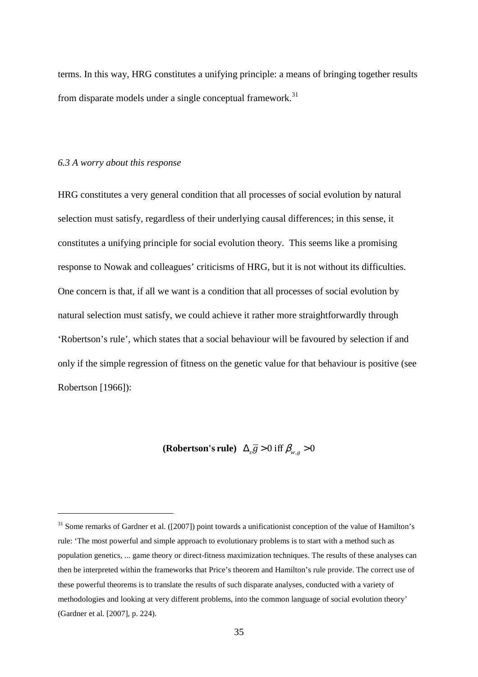terms. In this way, HRG constitutes a unifying principle: a means of bringing together results from disparate models under a single conceptual framework.<sup>31</sup>

#### *6.3 A worry about this response*

 $\overline{\phantom{0}}$ 

HRG constitutes a very general condition that all processes of social evolution by natural selection must satisfy, regardless of their underlying causal differences; in this sense, it constitutes a unifying principle for social evolution theory. This seems like a promising response to Nowak and colleagues' criticisms of HRG, but it is not without its difficulties. One concern is that, if all we want is a condition that all processes of social evolution by natural selection must satisfy, we could achieve it rather more straightforwardly through 'Robertson's rule', which states that a social behaviour will be favoured by selection if and only if the simple regression of fitness on the genetic value for that behaviour is positive (see Robertson [1966]):

(**Robertson's rule**)  $\Delta_{\tilde{s}}\overline{\tilde{g}} > 0$  iff  $\beta_{w,g} > 0$ 

<sup>&</sup>lt;sup>31</sup> Some remarks of Gardner et al. ([2007]) point towards a unificationist conception of the value of Hamilton's rule: 'The most powerful and simple approach to evolutionary problems is to start with a method such as population genetics, ... game theory or direct-fitness maximization techniques. The results of these analyses can then be interpreted within the frameworks that Price's theorem and Hamilton's rule provide. The correct use of these powerful theorems is to translate the results of such disparate analyses, conducted with a variety of methodologies and looking at very different problems, into the common language of social evolution theory' (Gardner et al. [2007], p. 224).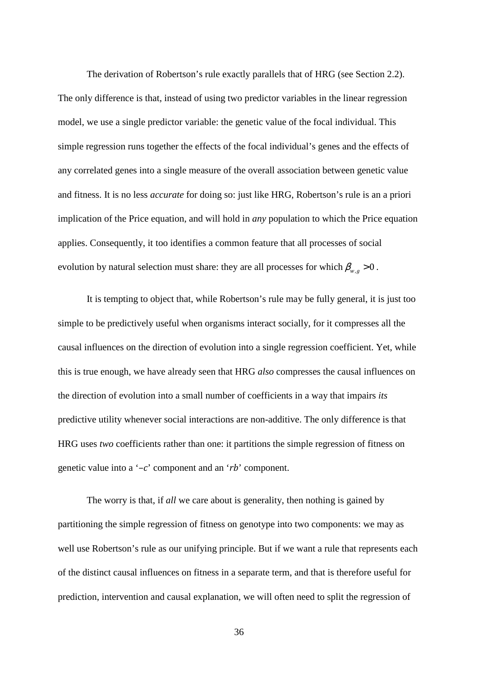The derivation of Robertson's rule exactly parallels that of HRG (see Section 2.2). The only difference is that, instead of using two predictor variables in the linear regression model, we use a single predictor variable: the genetic value of the focal individual. This simple regression runs together the effects of the focal individual's genes and the effects of any correlated genes into a single measure of the overall association between genetic value and fitness. It is no less *accurate* for doing so: just like HRG, Robertson's rule is an a priori implication of the Price equation, and will hold in *any* population to which the Price equation applies. Consequently, it too identifies a common feature that all processes of social evolution by natural selection must share: they are all processes for which  $\beta_{w,g} > 0$ .

It is tempting to object that, while Robertson's rule may be fully general, it is just too simple to be predictively useful when organisms interact socially, for it compresses all the causal influences on the direction of evolution into a single regression coefficient. Yet, while this is true enough, we have already seen that HRG *also* compresses the causal influences on the direction of evolution into a small number of coefficients in a way that impairs *its* predictive utility whenever social interactions are non-additive. The only difference is that HRG uses *two* coefficients rather than one: it partitions the simple regression of fitness on genetic value into a '*–c*' component and an '*rb*' component.

The worry is that, if *all* we care about is generality, then nothing is gained by partitioning the simple regression of fitness on genotype into two components: we may as well use Robertson's rule as our unifying principle. But if we want a rule that represents each of the distinct causal influences on fitness in a separate term, and that is therefore useful for prediction, intervention and causal explanation, we will often need to split the regression of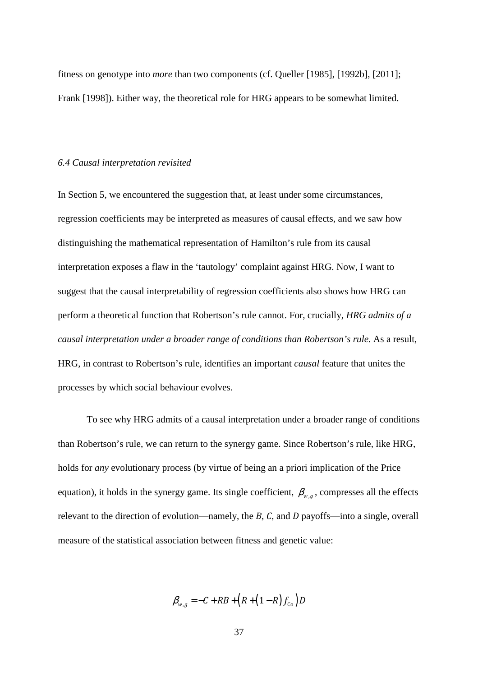fitness on genotype into *more* than two components (cf. Queller [1985], [1992b], [2011]; Frank [1998]). Either way, the theoretical role for HRG appears to be somewhat limited.

#### *6.4 Causal interpretation revisited*

In Section 5, we encountered the suggestion that, at least under some circumstances, regression coefficients may be interpreted as measures of causal effects, and we saw how distinguishing the mathematical representation of Hamilton's rule from its causal interpretation exposes a flaw in the 'tautology' complaint against HRG. Now, I want to suggest that the causal interpretability of regression coefficients also shows how HRG can perform a theoretical function that Robertson's rule cannot. For, crucially, *HRG admits of a causal interpretation under a broader range of conditions than Robertson's rule.* As a result, HRG, in contrast to Robertson's rule, identifies an important *causal* feature that unites the processes by which social behaviour evolves.

To see why HRG admits of a causal interpretation under a broader range of conditions than Robertson's rule, we can return to the synergy game. Since Robertson's rule, like HRG, holds for *any* evolutionary process (by virtue of being an a priori implication of the Price equation), it holds in the synergy game. Its single coefficient,  $\beta_{w,q}$ , compresses all the effects relevant to the direction of evolution—namely, the *B*, *C*, and *D* payoffs—into a single, overall measure of the statistical association between fitness and genetic value:

$$
\beta_{w,g} = -C + RB + (R + (1 - R)f_{\text{co}})D
$$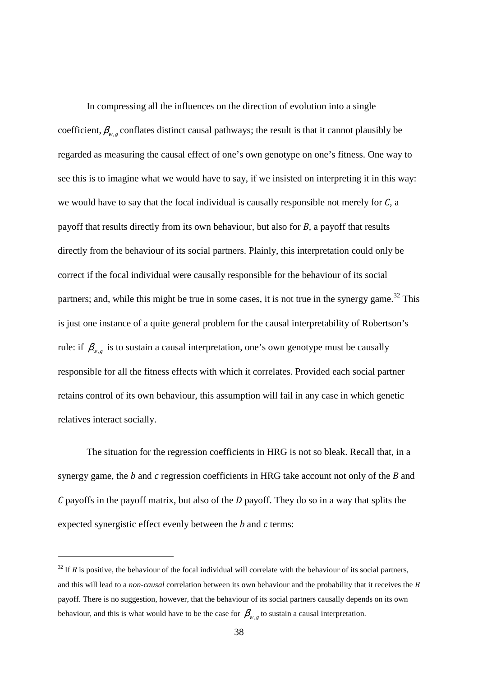In compressing all the influences on the direction of evolution into a single coefficient,  $\beta_{w,q}$  conflates distinct causal pathways; the result is that it cannot plausibly be regarded as measuring the causal effect of one's own genotype on one's fitness. One way to see this is to imagine what we would have to say, if we insisted on interpreting it in this way: we would have to say that the focal individual is causally responsible not merely for *C*, a payoff that results directly from its own behaviour, but also for *B*, a payoff that results directly from the behaviour of its social partners. Plainly, this interpretation could only be correct if the focal individual were causally responsible for the behaviour of its social partners; and, while this might be true in some cases, it is not true in the synergy game.<sup>32</sup> This is just one instance of a quite general problem for the causal interpretability of Robertson's rule: if  $\beta_{w,g}$  is to sustain a causal interpretation, one's own genotype must be causally responsible for all the fitness effects with which it correlates. Provided each social partner retains control of its own behaviour, this assumption will fail in any case in which genetic relatives interact socially.

The situation for the regression coefficients in HRG is not so bleak. Recall that, in a synergy game, the *b* and *c* regression coefficients in HRG take account not only of the *B* and *C* payoffs in the payoff matrix, but also of the *D* payoff. They do so in a way that splits the expected synergistic effect evenly between the *b* and *c* terms:

 $32$  If *R* is positive, the behaviour of the focal individual will correlate with the behaviour of its social partners, and this will lead to a *non-causal* correlation between its own behaviour and the probability that it receives the *B* payoff. There is no suggestion, however, that the behaviour of its social partners causally depends on its own behaviour, and this is what would have to be the case for  $\beta_{w,g}$  to sustain a causal interpretation.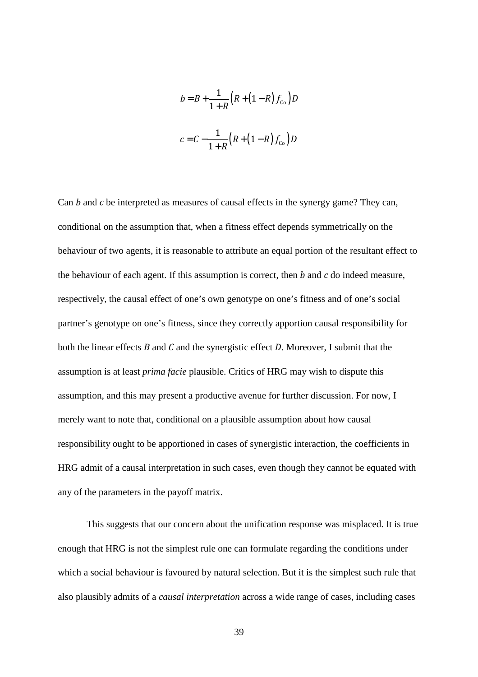$$
b = B + \frac{1}{1+R} (R + (1-R) f_{\text{Co}}) D
$$

$$
c = C - \frac{1}{1+R} (R + (1-R) f_{\text{Co}}) D
$$

Can *b* and *c* be interpreted as measures of causal effects in the synergy game? They can, conditional on the assumption that, when a fitness effect depends symmetrically on the behaviour of two agents, it is reasonable to attribute an equal portion of the resultant effect to the behaviour of each agent. If this assumption is correct, then *b* and *c* do indeed measure, respectively, the causal effect of one's own genotype on one's fitness and of one's social partner's genotype on one's fitness, since they correctly apportion causal responsibility for both the linear effects *B* and *C* and the synergistic effect *D*. Moreover, I submit that the assumption is at least *prima facie* plausible. Critics of HRG may wish to dispute this assumption, and this may present a productive avenue for further discussion. For now, I merely want to note that, conditional on a plausible assumption about how causal responsibility ought to be apportioned in cases of synergistic interaction, the coefficients in HRG admit of a causal interpretation in such cases, even though they cannot be equated with any of the parameters in the payoff matrix.

This suggests that our concern about the unification response was misplaced. It is true enough that HRG is not the simplest rule one can formulate regarding the conditions under which a social behaviour is favoured by natural selection. But it is the simplest such rule that also plausibly admits of a *causal interpretation* across a wide range of cases, including cases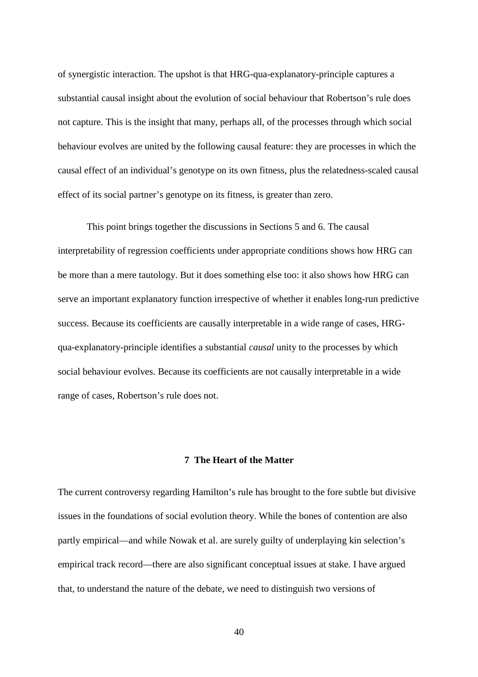of synergistic interaction. The upshot is that HRG-qua-explanatory-principle captures a substantial causal insight about the evolution of social behaviour that Robertson's rule does not capture. This is the insight that many, perhaps all, of the processes through which social behaviour evolves are united by the following causal feature: they are processes in which the causal effect of an individual's genotype on its own fitness, plus the relatedness-scaled causal effect of its social partner's genotype on its fitness, is greater than zero.

This point brings together the discussions in Sections 5 and 6. The causal interpretability of regression coefficients under appropriate conditions shows how HRG can be more than a mere tautology. But it does something else too: it also shows how HRG can serve an important explanatory function irrespective of whether it enables long-run predictive success. Because its coefficients are causally interpretable in a wide range of cases, HRGqua-explanatory-principle identifies a substantial *causal* unity to the processes by which social behaviour evolves. Because its coefficients are not causally interpretable in a wide range of cases, Robertson's rule does not.

#### **7 The Heart of the Matter**

The current controversy regarding Hamilton's rule has brought to the fore subtle but divisive issues in the foundations of social evolution theory. While the bones of contention are also partly empirical—and while Nowak et al. are surely guilty of underplaying kin selection's empirical track record—there are also significant conceptual issues at stake. I have argued that, to understand the nature of the debate, we need to distinguish two versions of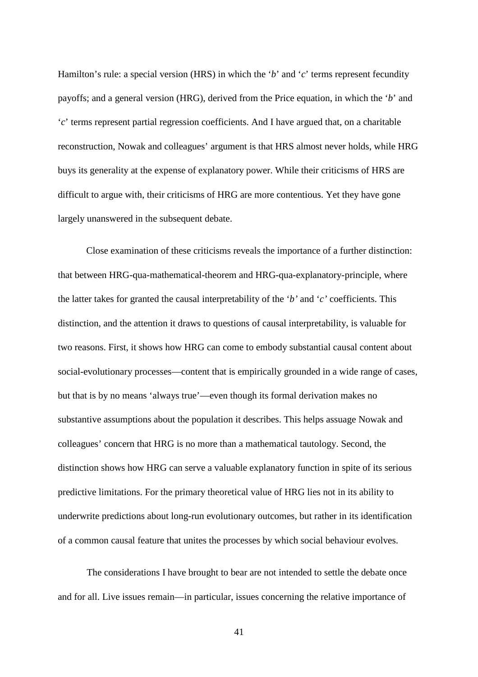Hamilton's rule: a special version (HRS) in which the '*b*' and '*c*' terms represent fecundity payoffs; and a general version (HRG), derived from the Price equation, in which the '*b*' and '*c*' terms represent partial regression coefficients. And I have argued that, on a charitable reconstruction, Nowak and colleagues' argument is that HRS almost never holds, while HRG buys its generality at the expense of explanatory power. While their criticisms of HRS are difficult to argue with, their criticisms of HRG are more contentious. Yet they have gone largely unanswered in the subsequent debate.

Close examination of these criticisms reveals the importance of a further distinction: that between HRG-qua-mathematical-theorem and HRG-qua-explanatory-principle, where the latter takes for granted the causal interpretability of the '*b'* and '*c'* coefficients. This distinction, and the attention it draws to questions of causal interpretability, is valuable for two reasons. First, it shows how HRG can come to embody substantial causal content about social-evolutionary processes—content that is empirically grounded in a wide range of cases, but that is by no means 'always true'—even though its formal derivation makes no substantive assumptions about the population it describes. This helps assuage Nowak and colleagues' concern that HRG is no more than a mathematical tautology. Second, the distinction shows how HRG can serve a valuable explanatory function in spite of its serious predictive limitations. For the primary theoretical value of HRG lies not in its ability to underwrite predictions about long-run evolutionary outcomes, but rather in its identification of a common causal feature that unites the processes by which social behaviour evolves.

 The considerations I have brought to bear are not intended to settle the debate once and for all. Live issues remain—in particular, issues concerning the relative importance of

41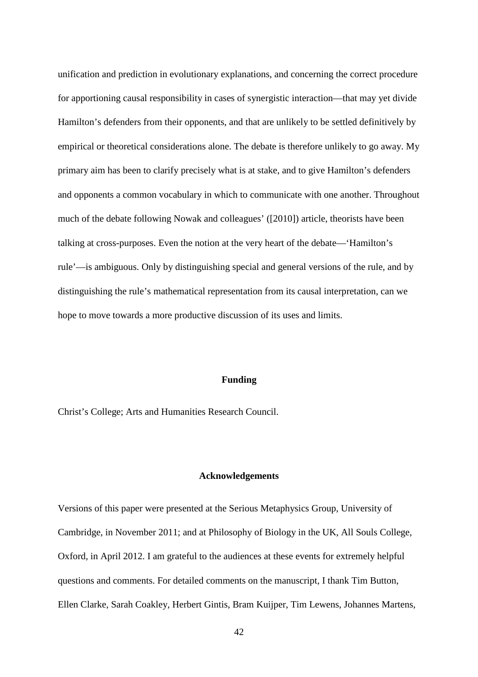unification and prediction in evolutionary explanations, and concerning the correct procedure for apportioning causal responsibility in cases of synergistic interaction—that may yet divide Hamilton's defenders from their opponents, and that are unlikely to be settled definitively by empirical or theoretical considerations alone. The debate is therefore unlikely to go away. My primary aim has been to clarify precisely what is at stake, and to give Hamilton's defenders and opponents a common vocabulary in which to communicate with one another. Throughout much of the debate following Nowak and colleagues' ([2010]) article, theorists have been talking at cross-purposes. Even the notion at the very heart of the debate—'Hamilton's rule'—is ambiguous. Only by distinguishing special and general versions of the rule, and by distinguishing the rule's mathematical representation from its causal interpretation, can we hope to move towards a more productive discussion of its uses and limits.

#### **Funding**

Christ's College; Arts and Humanities Research Council.

#### **Acknowledgements**

Versions of this paper were presented at the Serious Metaphysics Group, University of Cambridge, in November 2011; and at Philosophy of Biology in the UK, All Souls College, Oxford, in April 2012. I am grateful to the audiences at these events for extremely helpful questions and comments. For detailed comments on the manuscript, I thank Tim Button, Ellen Clarke, Sarah Coakley, Herbert Gintis, Bram Kuijper, Tim Lewens, Johannes Martens,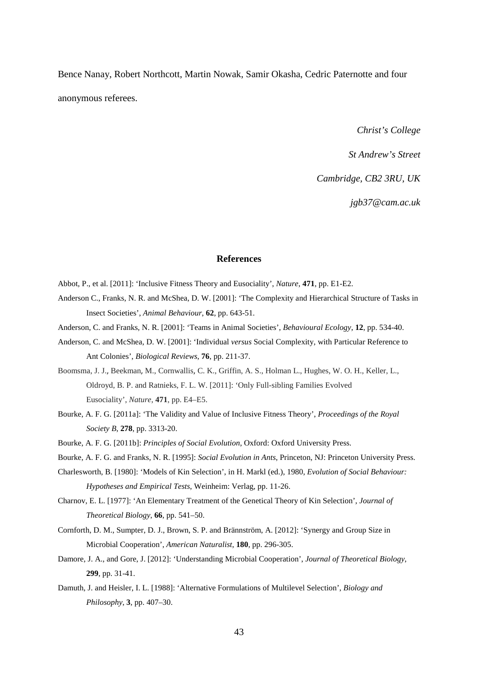Bence Nanay, Robert Northcott, Martin Nowak, Samir Okasha, Cedric Paternotte and four anonymous referees.

*Christ's College* 

*St Andrew's Street* 

*Cambridge, CB2 3RU, UK* 

*jgb37@cam.ac.uk* 

#### **References**

Abbot, P., et al. [2011]: 'Inclusive Fitness Theory and Eusociality', *Nature*, **471**, pp. E1-E2.

- Anderson C., Franks, N. R. and McShea, D. W. [2001]: 'The Complexity and Hierarchical Structure of Tasks in Insect Societies', *Animal Behaviour*, **62**, pp. 643-51.
- Anderson, C. and Franks, N. R. [2001]: 'Teams in Animal Societies', *Behavioural Ecology*, **12**, pp. 534-40.
- Anderson, C. and McShea, D. W. [2001]: 'Individual *versus* Social Complexity, with Particular Reference to Ant Colonies', *Biological Reviews*, **76**, pp. 211-37.
- Boomsma, J. J., Beekman, M., Cornwallis, C. K., Griffin, A. S., Holman L., Hughes, W. O. H., Keller, L., Oldroyd, B. P. and Ratnieks, F. L. W. [2011]: 'Only Full-sibling Families Evolved Eusociality', *Nature*, **471**, pp. E4–E5.
- Bourke, A. F. G. [2011a]: 'The Validity and Value of Inclusive Fitness Theory', *Proceedings of the Royal Society B*, **278**, pp. 3313-20.
- Bourke, A. F. G. [2011b]: *Principles of Social Evolution*, Oxford: Oxford University Press.
- Bourke, A. F. G. and Franks, N. R. [1995]: *Social Evolution in Ants*, Princeton, NJ: Princeton University Press.
- Charlesworth, B. [1980]: 'Models of Kin Selection', in H. Markl (ed.), 1980, *Evolution of Social Behaviour: Hypotheses and Empirical Tests*, Weinheim: Verlag, pp. 11-26.
- Charnov, E. L. [1977]: 'An Elementary Treatment of the Genetical Theory of Kin Selection', *Journal of Theoretical Biology*, **66**, pp. 541–50.
- Cornforth, D. M., Sumpter, D. J., Brown, S. P. and Brännström, A. [2012]: 'Synergy and Group Size in Microbial Cooperation', *American Naturalist*, **180**, pp. 296-305.
- Damore, J. A., and Gore, J. [2012]: 'Understanding Microbial Cooperation', *Journal of Theoretical Biology*, **299**, pp. 31-41.
- Damuth, J. and Heisler, I. L. [1988]: 'Alternative Formulations of Multilevel Selection', *Biology and Philosophy*, **3**, pp. 407–30.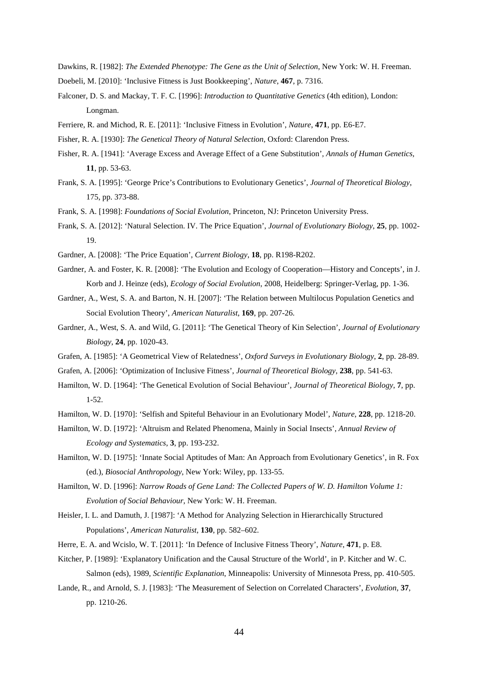Dawkins, R. [1982]: *The Extended Phenotype: The Gene as the Unit of Selection*, New York: W. H. Freeman.

- Doebeli, M. [2010]: 'Inclusive Fitness is Just Bookkeeping', *Nature*, **467**, p. 7316.
- Falconer, D. S. and Mackay, T. F. C. [1996]: *Introduction to Quantitative Genetics* (4th edition), London: Longman.
- Ferriere, R. and Michod, R. E. [2011]: 'Inclusive Fitness in Evolution', *Nature*, **471**, pp. E6-E7.
- Fisher, R. A. [1930]: *The Genetical Theory of Natural Selection*, Oxford: Clarendon Press.
- Fisher, R. A. [1941]: 'Average Excess and Average Effect of a Gene Substitution'*, Annals of Human Genetics,*  **11**, pp. 53-63.
- Frank, S. A. [1995]: 'George Price's Contributions to Evolutionary Genetics', *Journal of Theoretical Biology*, 175, pp. 373-88.
- Frank, S. A. [1998]: *Foundations of Social Evolution*, Princeton, NJ: Princeton University Press.
- Frank, S. A. [2012]: 'Natural Selection. IV. The Price Equation', *Journal of Evolutionary Biology*, **25**, pp. 1002- 19.
- Gardner, A. [2008]: 'The Price Equation', *Current Biology*, **18**, pp. R198-R202.
- Gardner, A. and Foster, K. R. [2008]: 'The Evolution and Ecology of Cooperation—History and Concepts', in J. Korb and J. Heinze (eds), *Ecology of Social Evolution*, 2008, Heidelberg: Springer-Verlag, pp. 1-36.
- Gardner, A., West, S. A. and Barton, N. H. [2007]: 'The Relation between Multilocus Population Genetics and Social Evolution Theory', *American Naturalist*, **169**, pp. 207-26.
- Gardner, A., West, S. A. and Wild, G. [2011]: 'The Genetical Theory of Kin Selection', *Journal of Evolutionary Biology*, **24**, pp. 1020-43.
- Grafen, A. [1985]: 'A Geometrical View of Relatedness', *Oxford Surveys in Evolutionary Biology*, **2**, pp. 28-89.
- Grafen, A. [2006]: 'Optimization of Inclusive Fitness', *Journal of Theoretical Biology*, **238**, pp. 541-63.
- Hamilton, W. D. [1964]: 'The Genetical Evolution of Social Behaviour', *Journal of Theoretical Biology*, **7**, pp. 1-52.
- Hamilton, W. D. [1970]: 'Selfish and Spiteful Behaviour in an Evolutionary Model', *Nature*, **228**, pp. 1218-20.
- Hamilton, W. D. [1972]: 'Altruism and Related Phenomena, Mainly in Social Insects', *Annual Review of Ecology and Systematics*, **3**, pp. 193-232.
- Hamilton, W. D. [1975]: 'Innate Social Aptitudes of Man: An Approach from Evolutionary Genetics', in R. Fox (ed.), *Biosocial Anthropology*, New York: Wiley, pp. 133-55.
- Hamilton, W. D. [1996]: *Narrow Roads of Gene Land: The Collected Papers of W. D. Hamilton Volume 1: Evolution of Social Behaviour*, New York: W. H. Freeman.
- Heisler, I. L. and Damuth, J. [1987]: 'A Method for Analyzing Selection in Hierarchically Structured Populations', *American Naturalist*, **130**, pp. 582–602.
- Herre, E. A. and Wcislo, W. T. [2011]: 'In Defence of Inclusive Fitness Theory', *Nature*, **471**, p. E8.
- Kitcher, P. [1989]: 'Explanatory Unification and the Causal Structure of the World', in P. Kitcher and W. C. Salmon (eds), 1989, *Scientific Explanation*, Minneapolis: University of Minnesota Press, pp. 410-505.
- Lande, R., and Arnold, S. J. [1983]: 'The Measurement of Selection on Correlated Characters', *Evolution*, **37**, pp. 1210-26.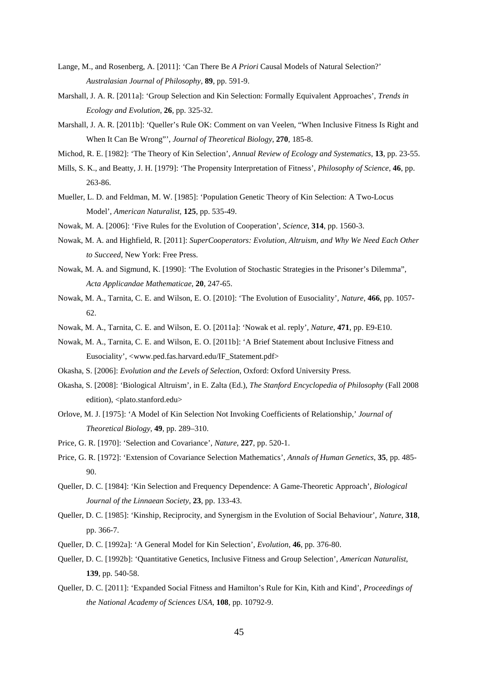- Lange, M., and Rosenberg, A. [2011]: 'Can There Be *A Priori* Causal Models of Natural Selection?' *Australasian Journal of Philosophy*, **89**, pp. 591-9.
- Marshall, J. A. R. [2011a]: 'Group Selection and Kin Selection: Formally Equivalent Approaches', *Trends in Ecology and Evolution*, **26**, pp. 325-32.
- Marshall, J. A. R. [2011b]: 'Queller's Rule OK: Comment on van Veelen, "When Inclusive Fitness Is Right and When It Can Be Wrong"', *Journal of Theoretical Biology*, **270**, 185-8.
- Michod, R. E. [1982]: 'The Theory of Kin Selection', *Annual Review of Ecology and Systematics*, **13**, pp. 23-55.
- Mills, S. K., and Beatty, J. H. [1979]: 'The Propensity Interpretation of Fitness', *Philosophy of Science*, **46**, pp. 263-86.
- Mueller, L. D. and Feldman, M. W. [1985]: 'Population Genetic Theory of Kin Selection: A Two-Locus Model', *American Naturalist*, **125**, pp. 535-49.
- Nowak, M. A. [2006]: 'Five Rules for the Evolution of Cooperation', *Science*, **314**, pp. 1560-3.
- Nowak, M. A. and Highfield, R. [2011]: *SuperCooperators: Evolution, Altruism, and Why We Need Each Other to Succeed*, New York: Free Press.
- Nowak, M. A. and Sigmund, K. [1990]: 'The Evolution of Stochastic Strategies in the Prisoner's Dilemma", *Acta Applicandae Mathematicae*, **20**, 247-65.
- Nowak, M. A., Tarnita, C. E. and Wilson, E. O. [2010]: 'The Evolution of Eusociality', *Nature*, **466**, pp. 1057- 62.
- Nowak, M. A., Tarnita, C. E. and Wilson, E. O. [2011a]: 'Nowak et al. reply', *Nature*, **471**, pp. E9-E10.
- Nowak, M. A., Tarnita, C. E. and Wilson, E. O. [2011b]: 'A Brief Statement about Inclusive Fitness and Eusociality', <www.ped.fas.harvard.edu/IF\_Statement.pdf>
- Okasha, S. [2006]: *Evolution and the Levels of Selection*, Oxford: Oxford University Press.
- Okasha, S. [2008]: 'Biological Altruism', in E. Zalta (Ed.), *The Stanford Encyclopedia of Philosophy* (Fall 2008 edition), <plato.stanford.edu>
- Orlove, M. J. [1975]: 'A Model of Kin Selection Not Invoking Coefficients of Relationship,' *Journal of Theoretical Biology*, **49**, pp. 289–310.
- Price, G. R. [1970]: 'Selection and Covariance', *Nature*, **227**, pp. 520-1.
- Price, G. R. [1972]: 'Extension of Covariance Selection Mathematics', *Annals of Human Genetics*, **35**, pp. 485- 90.
- Queller, D. C. [1984]: 'Kin Selection and Frequency Dependence: A Game-Theoretic Approach', *Biological Journal of the Linnaean Society*, **23**, pp. 133-43.
- Queller, D. C. [1985]: 'Kinship, Reciprocity, and Synergism in the Evolution of Social Behaviour', *Nature*, **318**, pp. 366-7.
- Queller, D. C. [1992a]: 'A General Model for Kin Selection', *Evolution*, **46**, pp. 376-80.
- Queller, D. C. [1992b]: 'Quantitative Genetics, Inclusive Fitness and Group Selection', *American Naturalist*, **139**, pp. 540-58.
- Queller, D. C. [2011]: 'Expanded Social Fitness and Hamilton's Rule for Kin, Kith and Kind', *Proceedings of the National Academy of Sciences USA*, **108**, pp. 10792-9.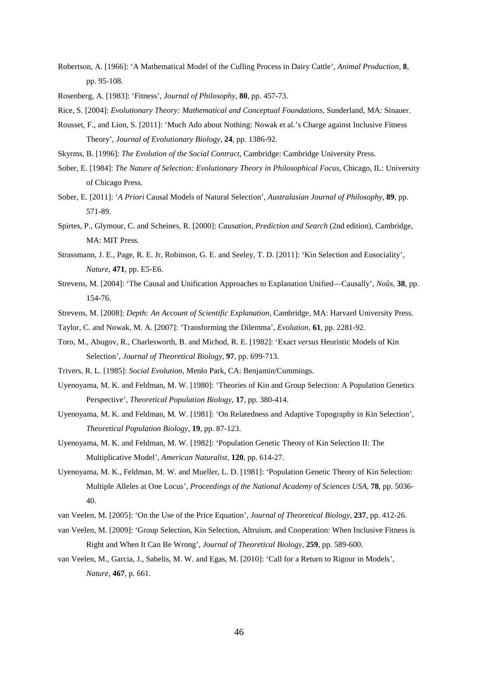Robertson, A. [1966]: 'A Mathematical Model of the Culling Process in Dairy Cattle', *Animal Production*, **8**, pp. 95-108.

Rosenberg, A. [1983]: 'Fitness', *Journal of Philosophy*, **80**, pp. 457-73.

Rice, S. [2004]: *Evolutionary Theory: Mathematical and Conceptual Foundations*, Sunderland, MA: Sinauer.

- Rousset, F., and Lion, S. [2011]: 'Much Ado about Nothing: Nowak et al.'s Charge against Inclusive Fitness Theory', *Journal of Evolutionary Biology*, **24**, pp. 1386-92.
- Skyrms, B. [1996]: *The Evolution of the Social Contract*, Cambridge: Cambridge University Press.
- Sober, E. [1984]: *The Nature of Selection: Evolutionary Theory in Philosophical Focus*, Chicago, IL: University of Chicago Press.
- Sober, E. [2011]: '*A Priori* Causal Models of Natural Selection', *Australasian Journal of Philosophy*, **89**, pp. 571-89.
- Spirtes, P., Glymour, C. and Scheines, R. [2000]: *Causation, Prediction and Search* (2nd edition), Cambridge, MA: MIT Press.
- Strassmann, J. E., Page, R. E. Jr, Robinson, G. E. and Seeley, T. D. [2011]: 'Kin Selection and Eusociality', *Nature*, **471**, pp. E5-E6.
- Strevens, M. [2004]: 'The Causal and Unification Approaches to Explanation Unified—Causally', *Noûs*, **38**, pp. 154-76.
- Strevens, M. [2008]: *Depth: An Account of Scientific Explanation*, Cambridge, MA: Harvard University Press.
- Taylor, C. and Nowak, M. A. [2007]: 'Transforming the Dilemma', *Evolution*, **61**, pp. 2281-92.
- Toro, M., Abugov, R., Charlesworth, B. and Michod, R. E. [1982]: 'Exact *versus* Heuristic Models of Kin Selection', *Journal of Theoretical Biology*, **97**, pp. 699-713.
- Trivers, R. L. [1985]: *Social Evolution*, Menlo Park, CA: Benjamin/Cummings.
- Uyenoyama, M. K. and Feldman, M. W. [1980]: 'Theories of Kin and Group Selection: A Population Genetics Perspective', *Theoretical Population Biology*, **17**, pp. 380-414.
- Uyenoyama, M. K. and Feldman, M. W. [1981]: 'On Relatedness and Adaptive Topography in Kin Selection', *Theoretical Population Biology*, **19**, pp. 87-123.
- Uyenoyama, M. K. and Feldman, M. W. [1982]: 'Population Genetic Theory of Kin Selection II: The Multiplicative Model', *American Naturalist*, **120**, pp. 614-27.
- Uyenoyama, M. K., Feldman, M. W. and Mueller, L. D. [1981]: 'Population Genetic Theory of Kin Selection: Multiple Alleles at One Locus', *Proceedings of the National Academy of Sciences USA*, **78**, pp. 5036- 40.
- van Veelen, M. [2005]: 'On the Use of the Price Equation', *Journal of Theoretical Biology*, **237**, pp. 412-26.
- van Veelen, M. [2009]: 'Group Selection, Kin Selection, Altruism, and Cooperation: When Inclusive Fitness is Right and When It Can Be Wrong', *Journal of Theoretical Biology*, **259**, pp. 589-600.
- van Veelen, M., Garcia, J., Sabelis, M. W. and Egas, M. [2010]: 'Call for a Return to Rigour in Models', *Nature*, **467**, p. 661.